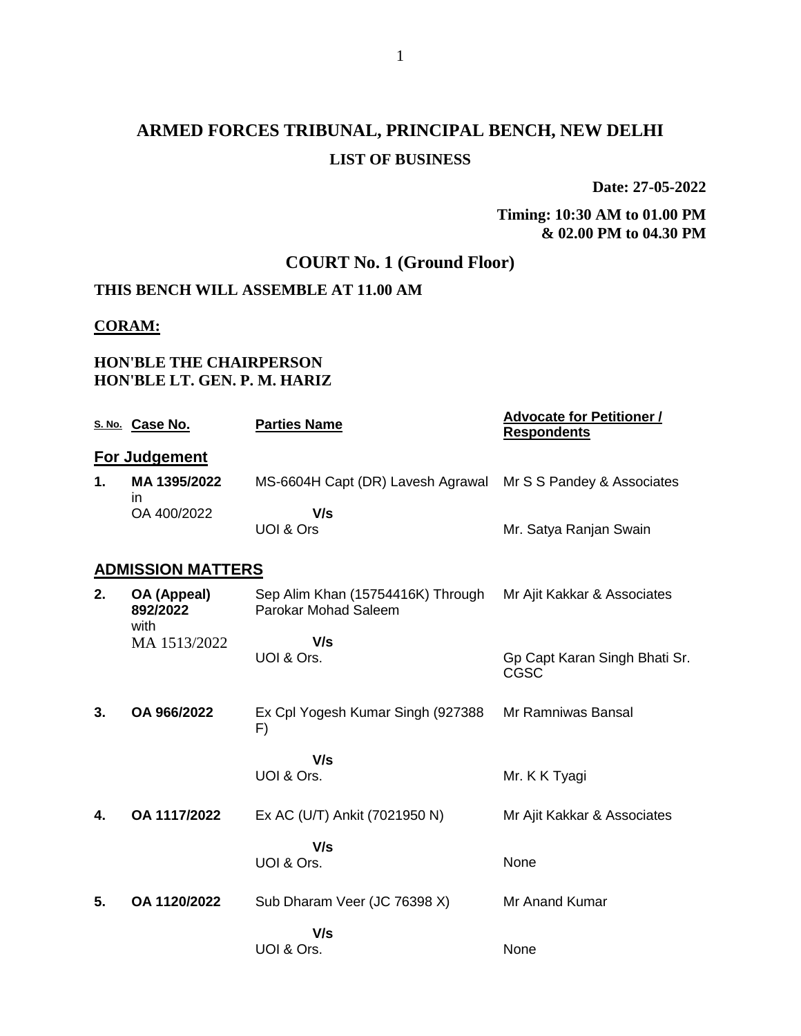**Date: 27-05-2022**

### **Timing: 10:30 AM to 01.00 PM & 02.00 PM to 04.30 PM**

## **COURT No. 1 (Ground Floor)**

## **THIS BENCH WILL ASSEMBLE AT 11.00 AM**

### **CORAM:**

### **HON'BLE THE CHAIRPERSON HON'BLE LT. GEN. P. M. HARIZ**

|    | S. No. Case No.                 | <b>Parties Name</b>                                          | <b>Advocate for Petitioner /</b><br><b>Respondents</b> |
|----|---------------------------------|--------------------------------------------------------------|--------------------------------------------------------|
|    | <b>For Judgement</b>            |                                                              |                                                        |
| 1. | MA 1395/2022<br>in.             | MS-6604H Capt (DR) Lavesh Agrawal Mr S S Pandey & Associates |                                                        |
|    | OA 400/2022                     | V/s                                                          |                                                        |
|    |                                 | UOI & Ors                                                    | Mr. Satya Ranjan Swain                                 |
|    | <b>ADMISSION MATTERS</b>        |                                                              |                                                        |
| 2. | OA (Appeal)<br>892/2022<br>with | Sep Alim Khan (15754416K) Through<br>Parokar Mohad Saleem    | Mr Ajit Kakkar & Associates                            |
|    | MA 1513/2022                    | V/s<br>UOI & Ors.                                            | Gp Capt Karan Singh Bhati Sr.<br><b>CGSC</b>           |
| 3. | OA 966/2022                     | Ex Cpl Yogesh Kumar Singh (927388<br>F)                      | Mr Ramniwas Bansal                                     |
|    |                                 | V/s                                                          |                                                        |
|    |                                 | UOI & Ors.                                                   | Mr. K K Tyagi                                          |
| 4. | OA 1117/2022                    | Ex AC (U/T) Ankit (7021950 N)                                | Mr Ajit Kakkar & Associates                            |
|    |                                 | V/s<br>UOI & Ors.                                            | None                                                   |
| 5. | OA 1120/2022                    | Sub Dharam Veer (JC 76398 X)                                 | Mr Anand Kumar                                         |
|    |                                 | V/s                                                          |                                                        |
|    |                                 | UOI & Ors.                                                   | None                                                   |
|    |                                 |                                                              |                                                        |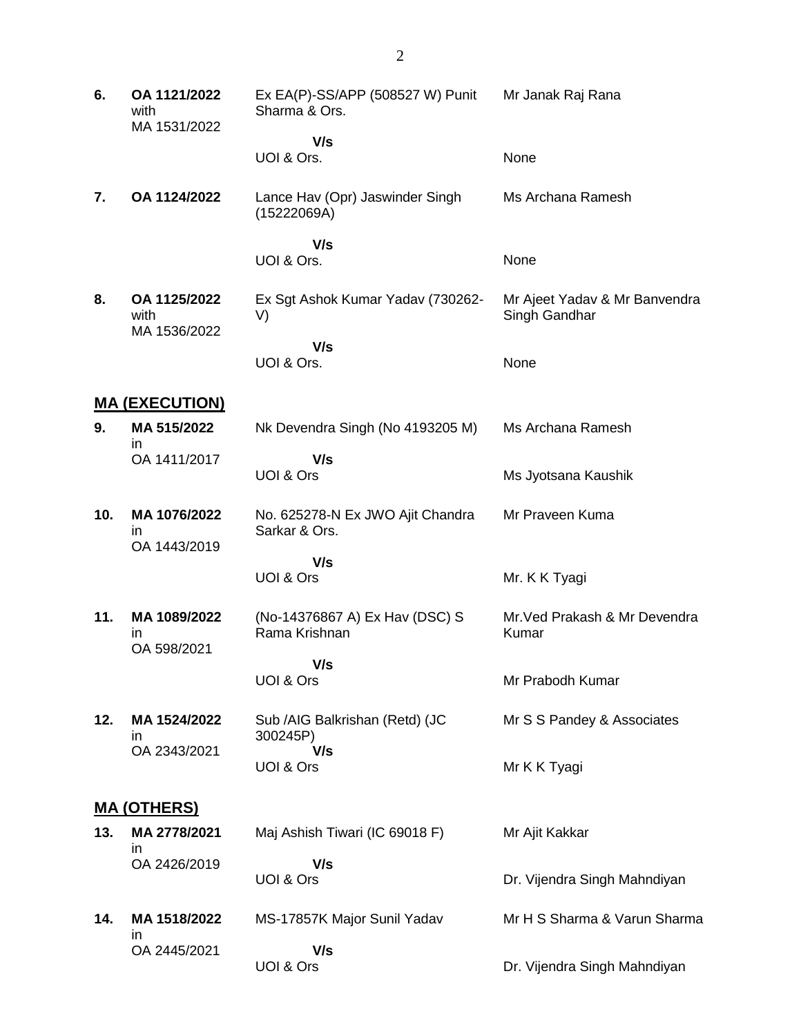| 6.  | OA 1121/2022<br>with<br>MA 1531/2022     | Ex EA(P)-SS/APP (508527 W) Punit<br>Sharma & Ors. | Mr Janak Raj Rana                              |
|-----|------------------------------------------|---------------------------------------------------|------------------------------------------------|
|     |                                          | V/s<br>UOI & Ors.                                 | None                                           |
| 7.  | OA 1124/2022                             | Lance Hav (Opr) Jaswinder Singh<br>(15222069A)    | Ms Archana Ramesh                              |
|     |                                          | V/s<br>UOI & Ors.                                 | None                                           |
| 8.  | OA 1125/2022<br>with<br>MA 1536/2022     | Ex Sgt Ashok Kumar Yadav (730262-<br>V)           | Mr Ajeet Yadav & Mr Banvendra<br>Singh Gandhar |
|     |                                          | V/s<br>UOI & Ors.                                 | None                                           |
|     | <b>MA (EXECUTION)</b>                    |                                                   |                                                |
| 9.  | MA 515/2022<br><i>in</i>                 | Nk Devendra Singh (No 4193205 M)                  | Ms Archana Ramesh                              |
|     | OA 1411/2017                             | V/s<br>UOI & Ors                                  | Ms Jyotsana Kaushik                            |
| 10. | MA 1076/2022<br>in                       | No. 625278-N Ex JWO Ajit Chandra<br>Sarkar & Ors. | Mr Praveen Kuma                                |
|     | OA 1443/2019                             | V/s                                               |                                                |
|     |                                          | UOI & Ors                                         | Mr. K K Tyagi                                  |
| 11. | MA 1089/2022<br><i>in</i><br>OA 598/2021 | (No-14376867 A) Ex Hav (DSC) S<br>Rama Krishnan   | Mr. Ved Prakash & Mr Devendra<br>Kumar         |
|     |                                          | V/s<br>UOI & Ors                                  | Mr Prabodh Kumar                               |
| 12. | MA 1524/2022<br>ın                       | Sub /AIG Balkrishan (Retd) (JC<br>300245P)        | Mr S S Pandey & Associates                     |
|     | OA 2343/2021                             | V/s<br>UOI & Ors                                  | Mr K K Tyagi                                   |
|     | <u>MA (OTHERS)</u>                       |                                                   |                                                |
| 13. | MA 2778/2021<br><i>in</i>                | Maj Ashish Tiwari (IC 69018 F)                    | Mr Ajit Kakkar                                 |
|     | OA 2426/2019                             | V/s<br>UOI & Ors                                  | Dr. Vijendra Singh Mahndiyan                   |
| 14. | MA 1518/2022<br>in                       | MS-17857K Major Sunil Yadav                       | Mr H S Sharma & Varun Sharma                   |
|     | OA 2445/2021                             | V/s<br>UOI & Ors                                  | Dr. Vijendra Singh Mahndiyan                   |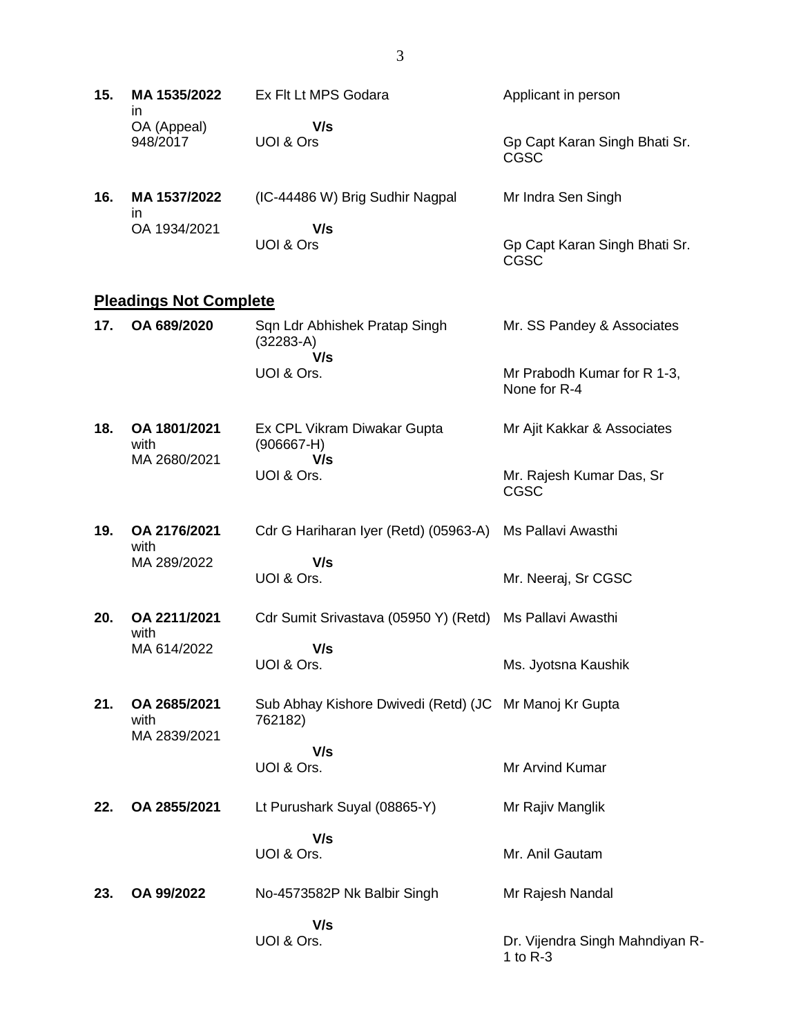| 15. | MA 1535/2022<br>ın            | Ex Flt Lt MPS Godara                                              | Applicant in person                           |
|-----|-------------------------------|-------------------------------------------------------------------|-----------------------------------------------|
|     | OA (Appeal)<br>948/2017       | V/s<br>UOI & Ors                                                  | Gp Capt Karan Singh Bhati Sr.<br><b>CGSC</b>  |
| 16. | MA 1537/2022<br>in            | (IC-44486 W) Brig Sudhir Nagpal                                   | Mr Indra Sen Singh                            |
|     | OA 1934/2021                  | V/s<br>UOI & Ors                                                  | Gp Capt Karan Singh Bhati Sr.<br><b>CGSC</b>  |
|     | <b>Pleadings Not Complete</b> |                                                                   |                                               |
| 17. | OA 689/2020                   | Sqn Ldr Abhishek Pratap Singh<br>$(32283-A)$                      | Mr. SS Pandey & Associates                    |
|     |                               | V/s<br>UOI & Ors.                                                 | Mr Prabodh Kumar for R 1-3,<br>None for R-4   |
| 18. | OA 1801/2021<br>with          | Ex CPL Vikram Diwakar Gupta<br>$(906667-H)$                       | Mr Ajit Kakkar & Associates                   |
|     | MA 2680/2021                  | V/s<br>UOI & Ors.                                                 | Mr. Rajesh Kumar Das, Sr<br>CGSC              |
| 19. | OA 2176/2021<br>with          | Cdr G Hariharan Iyer (Retd) (05963-A)                             | Ms Pallavi Awasthi                            |
|     | MA 289/2022                   | V/s<br>UOI & Ors.                                                 | Mr. Neeraj, Sr CGSC                           |
| 20. | OA 2211/2021<br>with          | Cdr Sumit Srivastava (05950 Y) (Retd)                             | Ms Pallavi Awasthi                            |
|     | MA 614/2022                   | V/s<br>UOI & Ors.                                                 | Ms. Jyotsna Kaushik                           |
| 21. | OA 2685/2021<br>with          | Sub Abhay Kishore Dwivedi (Retd) (JC Mr Manoj Kr Gupta<br>762182) |                                               |
|     | MA 2839/2021                  | V/s<br>UOI & Ors.                                                 | Mr Arvind Kumar                               |
| 22. | OA 2855/2021                  | Lt Purushark Suyal (08865-Y)                                      | Mr Rajiv Manglik                              |
|     |                               | V/s<br>UOI & Ors.                                                 | Mr. Anil Gautam                               |
| 23. | OA 99/2022                    | No-4573582P Nk Balbir Singh                                       | Mr Rajesh Nandal                              |
|     |                               | V/s<br>UOI & Ors.                                                 | Dr. Vijendra Singh Mahndiyan R-<br>1 to $R-3$ |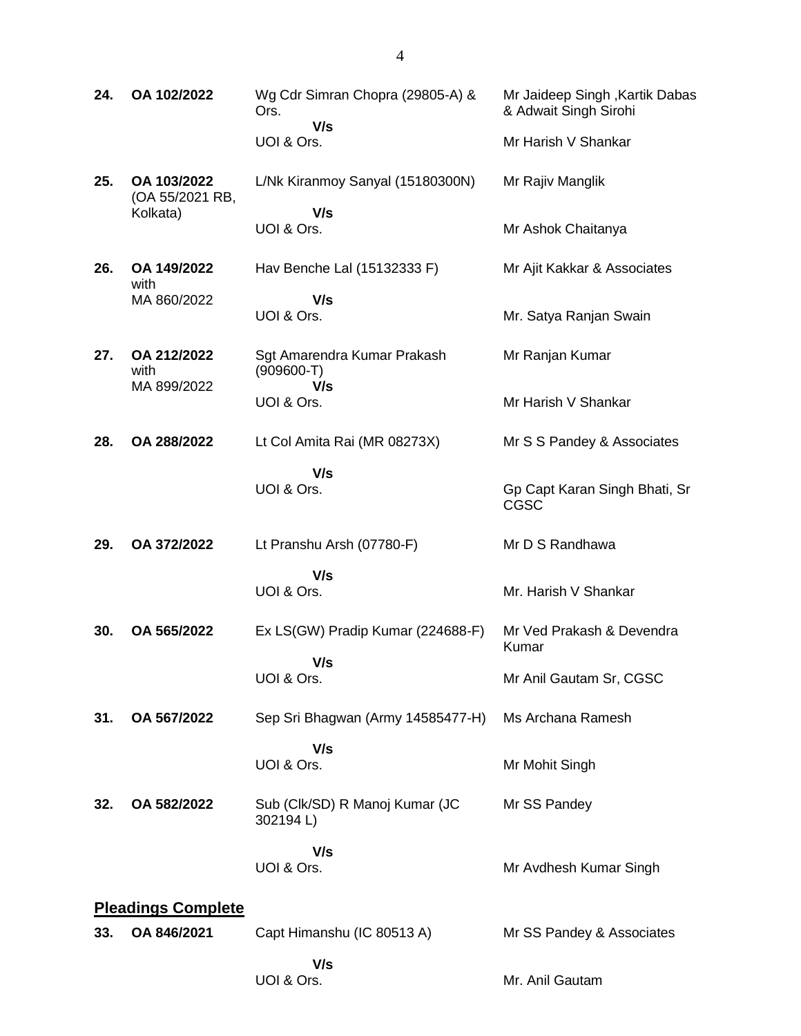| 24. | OA 102/2022                        | Wg Cdr Simran Chopra (29805-A) &<br>Ors.    | Mr Jaideep Singh, Kartik Dabas<br>& Adwait Singh Sirohi |
|-----|------------------------------------|---------------------------------------------|---------------------------------------------------------|
|     |                                    | V/s<br>UOI & Ors.                           | Mr Harish V Shankar                                     |
| 25. | OA 103/2022<br>(OA 55/2021 RB,     | L/Nk Kiranmoy Sanyal (15180300N)            | Mr Rajiv Manglik                                        |
|     | Kolkata)                           | V/s<br>UOI & Ors.                           | Mr Ashok Chaitanya                                      |
| 26. | OA 149/2022<br>with                | Hav Benche Lal (15132333 F)                 | Mr Ajit Kakkar & Associates                             |
|     | MA 860/2022                        | V/s<br>UOI & Ors.                           | Mr. Satya Ranjan Swain                                  |
| 27. | OA 212/2022<br>with<br>MA 899/2022 | Sgt Amarendra Kumar Prakash<br>$(909600-T)$ | Mr Ranjan Kumar                                         |
|     |                                    | V/s<br>UOI & Ors.                           | Mr Harish V Shankar                                     |
| 28. | OA 288/2022                        | Lt Col Amita Rai (MR 08273X)                | Mr S S Pandey & Associates                              |
|     |                                    | V/s<br>UOI & Ors.                           | Gp Capt Karan Singh Bhati, Sr<br><b>CGSC</b>            |
| 29. | OA 372/2022                        | Lt Pranshu Arsh (07780-F)                   | Mr D S Randhawa                                         |
|     |                                    | V/s<br>UOI & Ors.                           | Mr. Harish V Shankar                                    |
| 30. | OA 565/2022                        | Ex LS(GW) Pradip Kumar (224688-F)           | Mr Ved Prakash & Devendra<br>Kumar                      |
|     |                                    | V/s<br>UOI & Ors.                           | Mr Anil Gautam Sr, CGSC                                 |
| 31. | OA 567/2022                        | Sep Sri Bhagwan (Army 14585477-H)           | Ms Archana Ramesh                                       |
|     |                                    | V/s<br>UOI & Ors.                           | Mr Mohit Singh                                          |
| 32. | OA 582/2022                        | Sub (Clk/SD) R Manoj Kumar (JC<br>302194L)  | Mr SS Pandey                                            |
|     |                                    | V/s<br>UOI & Ors.                           | Mr Avdhesh Kumar Singh                                  |
|     | <b>Pleadings Complete</b>          |                                             |                                                         |
| 33. | OA 846/2021                        | Capt Himanshu (IC 80513 A)                  | Mr SS Pandey & Associates                               |
|     |                                    | V/s<br>UOI & Ors.                           | Mr. Anil Gautam                                         |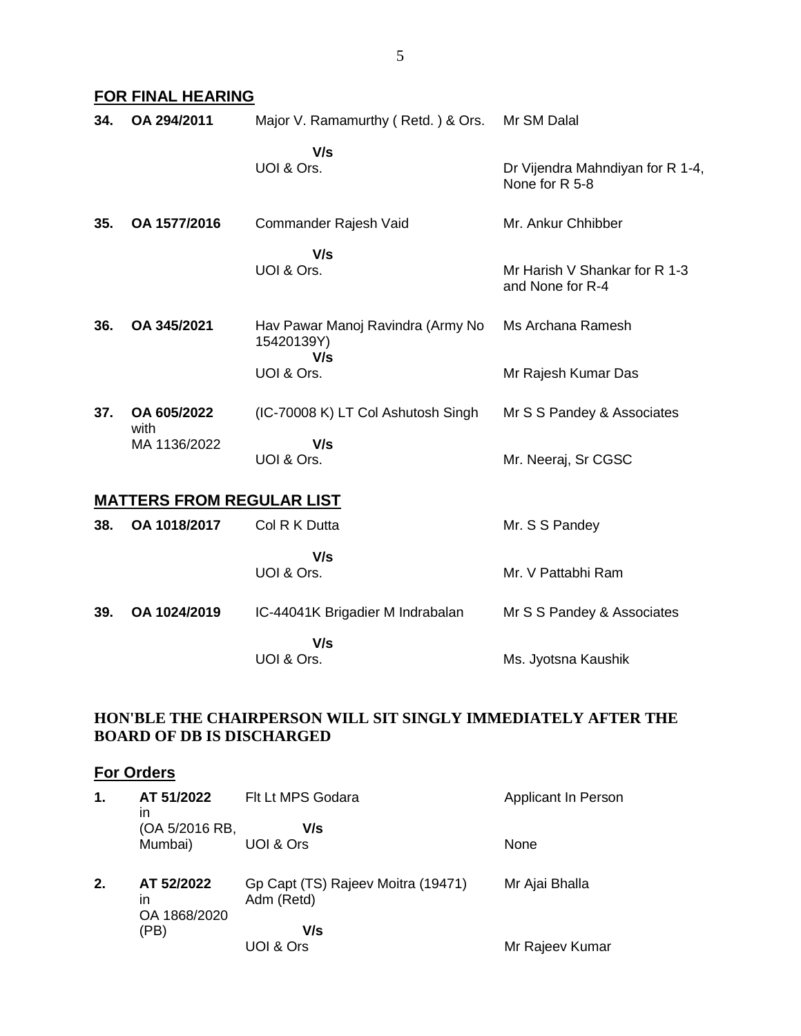### **FOR FINAL HEARING**

| 34. | OA 294/2011                      | Major V. Ramamurthy (Retd.) & Ors.                     | Mr SM Dalal                                        |
|-----|----------------------------------|--------------------------------------------------------|----------------------------------------------------|
|     |                                  | V/s<br>UOI & Ors.                                      | Dr Vijendra Mahndiyan for R 1-4,<br>None for R 5-8 |
| 35. | OA 1577/2016                     | Commander Rajesh Vaid                                  | Mr. Ankur Chhibber                                 |
|     |                                  | V/s<br>UOI & Ors.                                      | Mr Harish V Shankar for R 1-3<br>and None for R-4  |
| 36. | OA 345/2021                      | Hav Pawar Manoj Ravindra (Army No<br>15420139Y)<br>V/s | Ms Archana Ramesh                                  |
|     |                                  | UOI & Ors.                                             | Mr Rajesh Kumar Das                                |
| 37. | OA 605/2022<br>with              | (IC-70008 K) LT Col Ashutosh Singh                     | Mr S S Pandey & Associates                         |
|     | MA 1136/2022                     | V/s<br>UOI & Ors.                                      | Mr. Neeraj, Sr CGSC                                |
|     | <b>MATTERS FROM REGULAR LIST</b> |                                                        |                                                    |
| 38. | OA 1018/2017                     | Col R K Dutta                                          | Mr. S S Pandey                                     |
|     |                                  | V/s<br>UOI & Ors.                                      | Mr. V Pattabhi Ram                                 |
| 39. | OA 1024/2019                     | IC-44041K Brigadier M Indrabalan                       | Mr S S Pandey & Associates                         |
|     |                                  | V/s                                                    |                                                    |

UOI & Ors.

Ms. Jyotsna Kaushik

### **HON'BLE THE CHAIRPERSON WILL SIT SINGLY IMMEDIATELY AFTER THE BOARD OF DB IS DISCHARGED**

# **For Orders**

| 1. | AT 51/2022<br>in                 | Flt Lt MPS Godara                                | Applicant In Person |
|----|----------------------------------|--------------------------------------------------|---------------------|
|    | (OA 5/2016 RB,<br>Mumbai)        | V/s<br>UOI & Ors                                 | None                |
| 2. | AT 52/2022<br>ın<br>OA 1868/2020 | Gp Capt (TS) Rajeev Moitra (19471)<br>Adm (Retd) | Mr Ajai Bhalla      |
|    | (PB)                             | V/s<br>UOI & Ors                                 | Mr Rajeev Kumar     |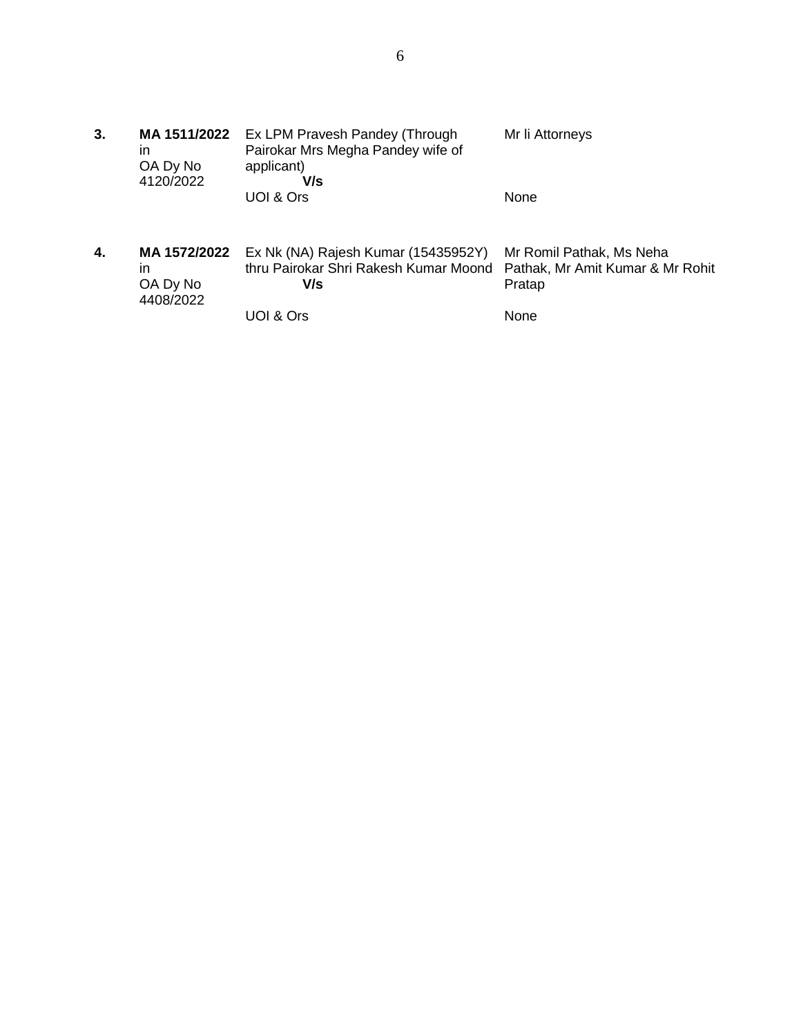**3. MA 1511/2022** Ex LPM Pravesh Pandey (Through in OA Dy No 4120/2022 Pairokar Mrs Megha Pandey wife of applicant)  **V/s** UOI & Ors Mr li Attorneys None **4. MA 1572/2022** in OA Dy No 4408/2022 Ex Nk (NA) Rajesh Kumar (15435952Y) thru Pairokar Shri Rakesh Kumar Moond  **V/s** Mr Romil Pathak, Ms Neha Pathak, Mr Amit Kumar & Mr Rohit Pratap

None

UOI & Ors

6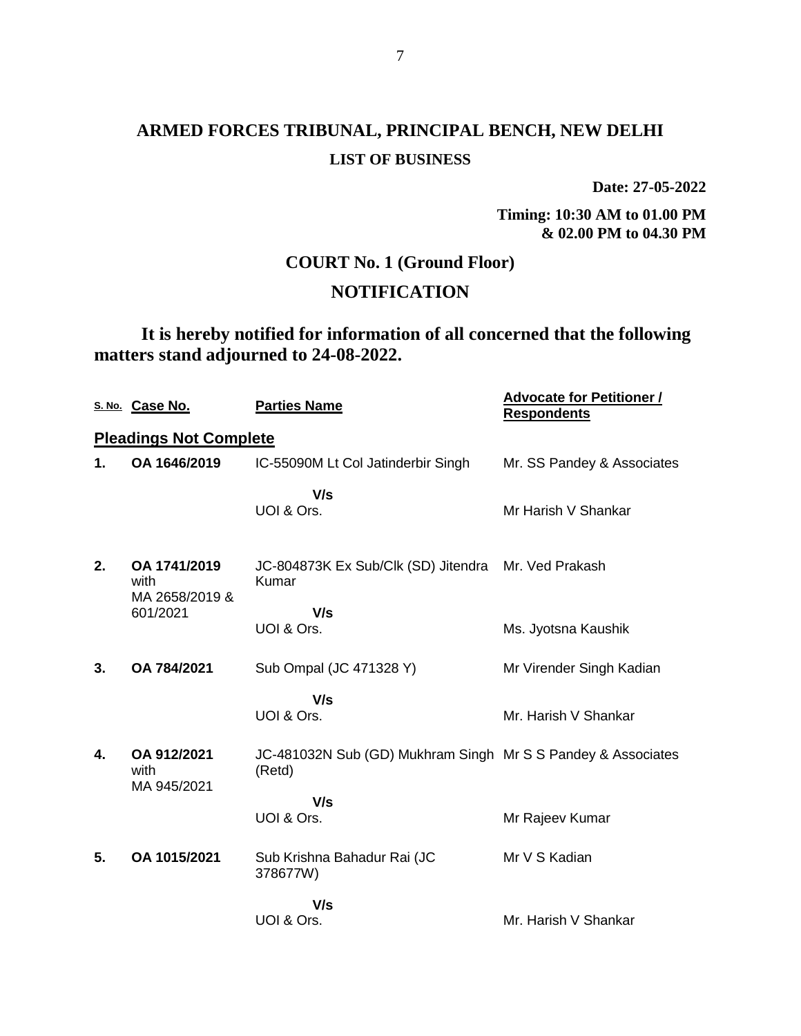**Date: 27-05-2022**

**Timing: 10:30 AM to 01.00 PM & 02.00 PM to 04.30 PM**

## **COURT No. 1 (Ground Floor)**

## **NOTIFICATION**

## **It is hereby notified for information of all concerned that the following matters stand adjourned to 24-08-2022.**

|    | S. No. Case No.                        | <b>Parties Name</b>                                                    | <b>Advocate for Petitioner /</b><br><b>Respondents</b> |
|----|----------------------------------------|------------------------------------------------------------------------|--------------------------------------------------------|
|    | <b>Pleadings Not Complete</b>          |                                                                        |                                                        |
| 1. | OA 1646/2019                           | IC-55090M Lt Col Jatinderbir Singh                                     | Mr. SS Pandey & Associates                             |
|    |                                        | V/s<br>UOI & Ors.                                                      | Mr Harish V Shankar                                    |
| 2. | OA 1741/2019<br>with<br>MA 2658/2019 & | JC-804873K Ex Sub/Clk (SD) Jitendra<br>Kumar                           | Mr. Ved Prakash                                        |
|    | 601/2021                               | V/s<br>UOI & Ors.                                                      | Ms. Jyotsna Kaushik                                    |
| 3. | OA 784/2021                            | Sub Ompal (JC 471328 Y)                                                | Mr Virender Singh Kadian                               |
|    |                                        | V/s<br>UOI & Ors.                                                      | Mr. Harish V Shankar                                   |
| 4. | OA 912/2021<br>with<br>MA 945/2021     | JC-481032N Sub (GD) Mukhram Singh Mr S S Pandey & Associates<br>(Retd) |                                                        |
|    |                                        | V/s<br>UOI & Ors.                                                      | Mr Rajeev Kumar                                        |
| 5. | OA 1015/2021                           | Sub Krishna Bahadur Rai (JC<br>378677W)                                | Mr V S Kadian                                          |
|    |                                        | V/s                                                                    |                                                        |
|    |                                        | UOI & Ors.                                                             | Mr. Harish V Shankar                                   |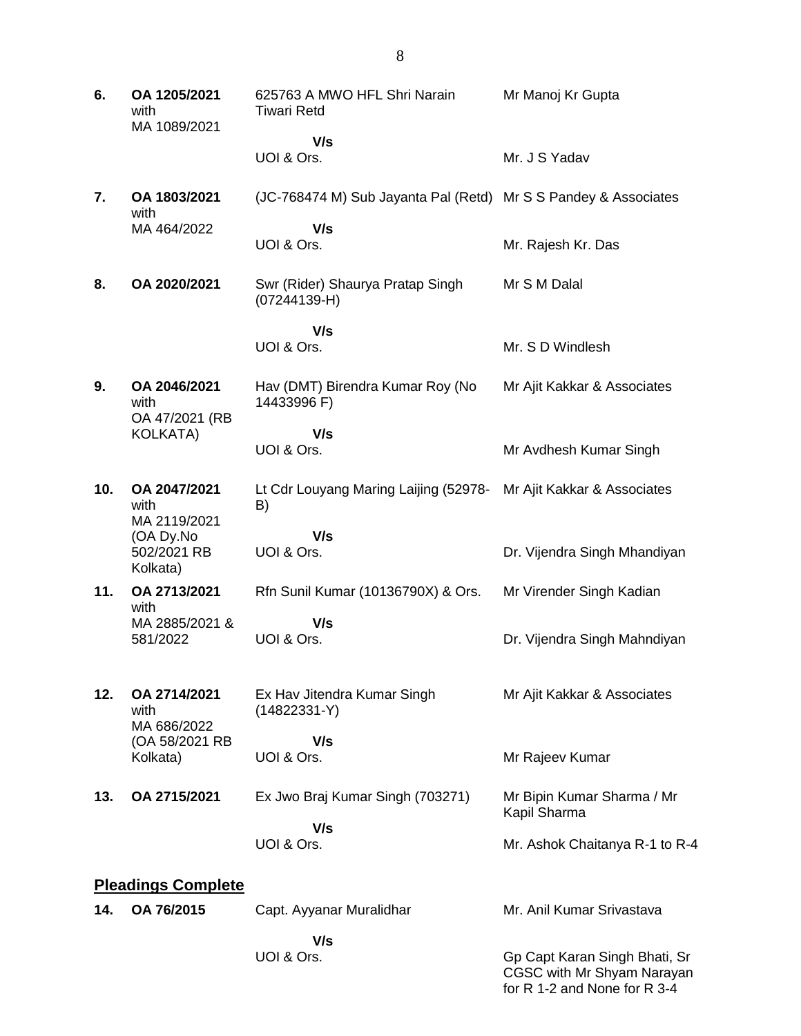| 6.                        | OA 1205/2021<br>with<br>MA 1089/2021   | 625763 A MWO HFL Shri Narain<br><b>Tiwari Retd</b>              | Mr Manoj Kr Gupta                                                                           |
|---------------------------|----------------------------------------|-----------------------------------------------------------------|---------------------------------------------------------------------------------------------|
|                           |                                        | V/s<br>UOI & Ors.                                               | Mr. J S Yadav                                                                               |
| 7.                        | OA 1803/2021<br>with                   | (JC-768474 M) Sub Jayanta Pal (Retd) Mr S S Pandey & Associates |                                                                                             |
|                           | MA 464/2022                            | V/s<br>UOI & Ors.                                               | Mr. Rajesh Kr. Das                                                                          |
| 8.                        | OA 2020/2021                           | Swr (Rider) Shaurya Pratap Singh<br>$(07244139 - H)$            | Mr S M Dalal                                                                                |
|                           |                                        | V/s<br>UOI & Ors.                                               | Mr. S D Windlesh                                                                            |
| 9.                        | OA 2046/2021<br>with<br>OA 47/2021 (RB | Hav (DMT) Birendra Kumar Roy (No<br>14433996 F)                 | Mr Ajit Kakkar & Associates                                                                 |
|                           | <b>KOLKATA)</b>                        | V/s<br>UOI & Ors.                                               | Mr Avdhesh Kumar Singh                                                                      |
| 10.                       | OA 2047/2021<br>with<br>MA 2119/2021   | Lt Cdr Louyang Maring Laijing (52978-<br>B)                     | Mr Ajit Kakkar & Associates                                                                 |
|                           | (OA Dy.No<br>502/2021 RB<br>Kolkata)   | V/s<br>UOI & Ors.                                               | Dr. Vijendra Singh Mhandiyan                                                                |
| 11.                       | OA 2713/2021<br>with                   | Rfn Sunil Kumar (10136790X) & Ors.                              | Mr Virender Singh Kadian                                                                    |
|                           | MA 2885/2021 &<br>581/2022             | V/s<br>UOI & Ors.                                               | Dr. Vijendra Singh Mahndiyan                                                                |
| 12.                       | OA 2714/2021<br>with<br>MA 686/2022    | Ex Hav Jitendra Kumar Singh<br>$(14822331-Y)$                   | Mr Ajit Kakkar & Associates                                                                 |
|                           | (OA 58/2021 RB<br>Kolkata)             | V/s<br>UOI & Ors.                                               | Mr Rajeev Kumar                                                                             |
| 13.                       | OA 2715/2021                           | Ex Jwo Braj Kumar Singh (703271)                                | Mr Bipin Kumar Sharma / Mr<br>Kapil Sharma                                                  |
|                           |                                        | V/s<br>UOI & Ors.                                               | Mr. Ashok Chaitanya R-1 to R-4                                                              |
| <b>Pleadings Complete</b> |                                        |                                                                 |                                                                                             |
| 14.                       | OA 76/2015                             | Capt. Ayyanar Muralidhar                                        | Mr. Anil Kumar Srivastava                                                                   |
|                           |                                        | V/s<br>UOI & Ors.                                               | Gp Capt Karan Singh Bhati, Sr<br>CGSC with Mr Shyam Narayan<br>for R 1-2 and None for R 3-4 |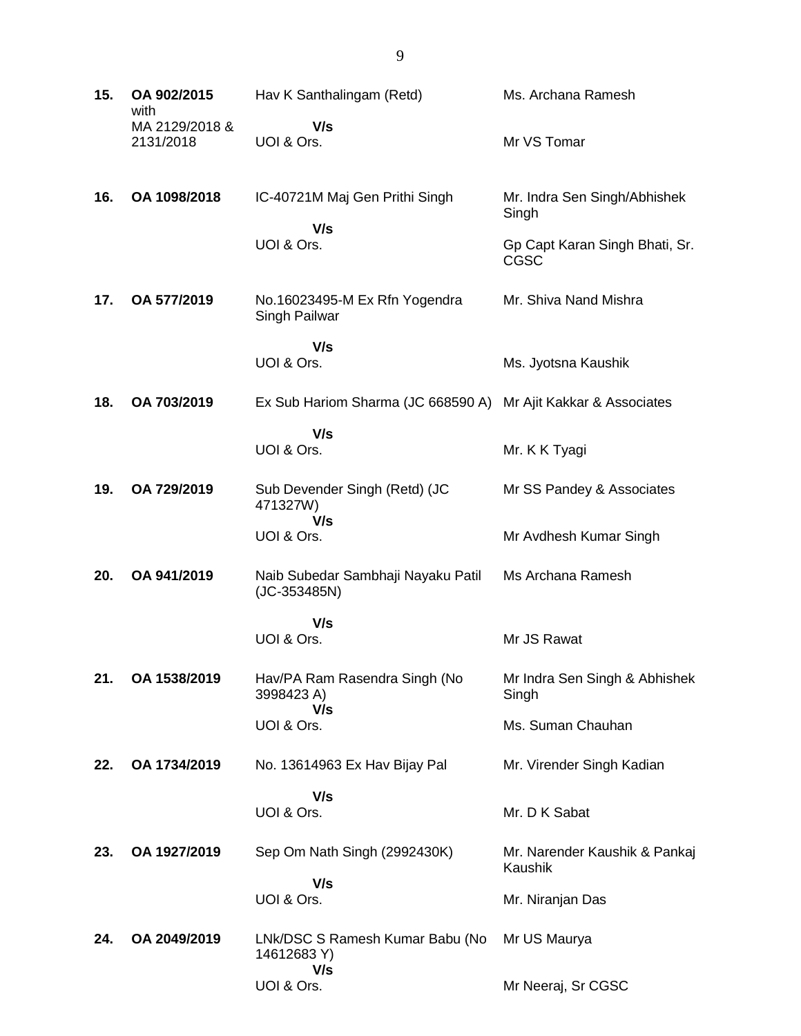| 15. | OA 902/2015<br>with         | Hav K Santhalingam (Retd)                             | Ms. Archana Ramesh                       |
|-----|-----------------------------|-------------------------------------------------------|------------------------------------------|
|     | MA 2129/2018 &<br>2131/2018 | V/s<br>UOI & Ors.                                     | Mr VS Tomar                              |
| 16. | OA 1098/2018                | IC-40721M Maj Gen Prithi Singh<br>V/s                 | Mr. Indra Sen Singh/Abhishek<br>Singh    |
|     |                             | UOI & Ors.                                            | Gp Capt Karan Singh Bhati, Sr.<br>CGSC   |
| 17. | OA 577/2019                 | No.16023495-M Ex Rfn Yogendra<br>Singh Pailwar        | Mr. Shiva Nand Mishra                    |
|     |                             | V/s<br>UOI & Ors.                                     | Ms. Jyotsna Kaushik                      |
| 18. | OA 703/2019                 | Ex Sub Hariom Sharma (JC 668590 A)                    | Mr Ajit Kakkar & Associates              |
|     |                             | V/s<br>UOI & Ors.                                     | Mr. K K Tyagi                            |
| 19. | OA 729/2019                 | Sub Devender Singh (Retd) (JC<br>471327W)             | Mr SS Pandey & Associates                |
|     |                             | V/s<br>UOI & Ors.                                     | Mr Avdhesh Kumar Singh                   |
| 20. | OA 941/2019                 | Naib Subedar Sambhaji Nayaku Patil<br>$(JC-353485N)$  | Ms Archana Ramesh                        |
|     |                             | V/s                                                   |                                          |
|     |                             | UOI & Ors.                                            | Mr JS Rawat                              |
| 21. | OA 1538/2019                | Hav/PA Ram Rasendra Singh (No<br>3998423 A)<br>V/s    | Mr Indra Sen Singh & Abhishek<br>Singh   |
|     |                             | UOI & Ors.                                            | Ms. Suman Chauhan                        |
| 22. | OA 1734/2019                | No. 13614963 Ex Hav Bijay Pal                         | Mr. Virender Singh Kadian                |
|     |                             | V/s<br>UOI & Ors.                                     | Mr. D K Sabat                            |
| 23. | OA 1927/2019                | Sep Om Nath Singh (2992430K)                          | Mr. Narender Kaushik & Pankaj<br>Kaushik |
|     |                             | V/s<br>UOI & Ors.                                     | Mr. Niranjan Das                         |
| 24. | OA 2049/2019                | LNk/DSC S Ramesh Kumar Babu (No<br>14612683 Y)<br>V/s | Mr US Maurya                             |
|     |                             | UOI & Ors.                                            | Mr Neeraj, Sr CGSC                       |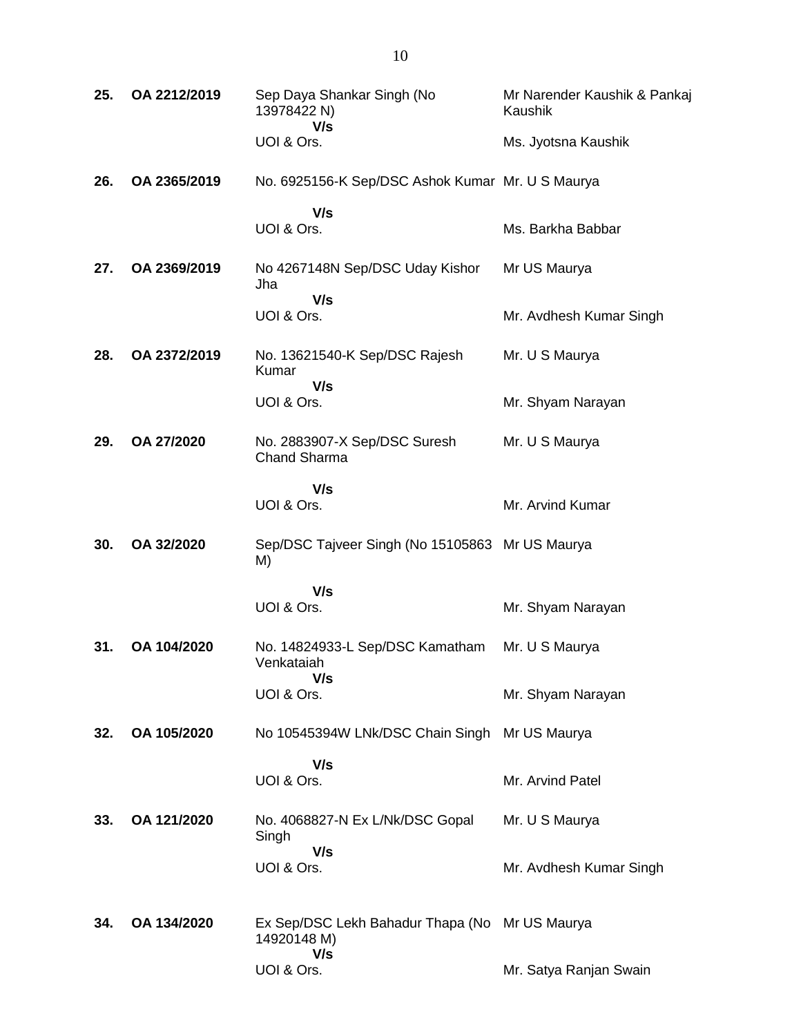| 25. | OA 2212/2019 | Sep Daya Shankar Singh (No<br>13978422 N)<br>V/s                     | Mr Narender Kaushik & Pankaj<br>Kaushik |
|-----|--------------|----------------------------------------------------------------------|-----------------------------------------|
|     |              | UOI & Ors.                                                           | Ms. Jyotsna Kaushik                     |
| 26. | OA 2365/2019 | No. 6925156-K Sep/DSC Ashok Kumar Mr. U S Maurya                     |                                         |
|     |              | V/s<br>UOI & Ors.                                                    | Ms. Barkha Babbar                       |
| 27. | OA 2369/2019 | No 4267148N Sep/DSC Uday Kishor<br>Jha                               | Mr US Maurya                            |
|     |              | V/s<br>UOI & Ors.                                                    | Mr. Avdhesh Kumar Singh                 |
| 28. | OA 2372/2019 | No. 13621540-K Sep/DSC Rajesh<br>Kumar                               | Mr. U S Maurya                          |
|     |              | V/s<br>UOI & Ors.                                                    | Mr. Shyam Narayan                       |
| 29. | OA 27/2020   | No. 2883907-X Sep/DSC Suresh<br><b>Chand Sharma</b>                  | Mr. U S Maurya                          |
|     |              | V/s<br>UOI & Ors.                                                    | Mr. Arvind Kumar                        |
| 30. | OA 32/2020   | Sep/DSC Tajveer Singh (No 15105863 Mr US Maurya<br>M)                |                                         |
|     |              | V/s<br>UOI & Ors.                                                    | Mr. Shyam Narayan                       |
| 31. | OA 104/2020  | No. 14824933-L Sep/DSC Kamatham<br>Venkataiah<br>V/s                 | Mr. U S Maurya                          |
|     |              | UOI & Ors.                                                           | Mr. Shyam Narayan                       |
| 32. | OA 105/2020  | No 10545394W LNk/DSC Chain Singh Mr US Maurya                        |                                         |
|     |              | V/s<br>UOI & Ors.                                                    | Mr. Arvind Patel                        |
| 33. | OA 121/2020  | No. 4068827-N Ex L/Nk/DSC Gopal<br>Singh                             | Mr. U S Maurya                          |
|     |              | V/s<br>UOI & Ors.                                                    | Mr. Avdhesh Kumar Singh                 |
| 34. | OA 134/2020  | Ex Sep/DSC Lekh Bahadur Thapa (No Mr US Maurya<br>14920148 M)<br>V/s |                                         |
|     |              | UOI & Ors.                                                           | Mr. Satya Ranjan Swain                  |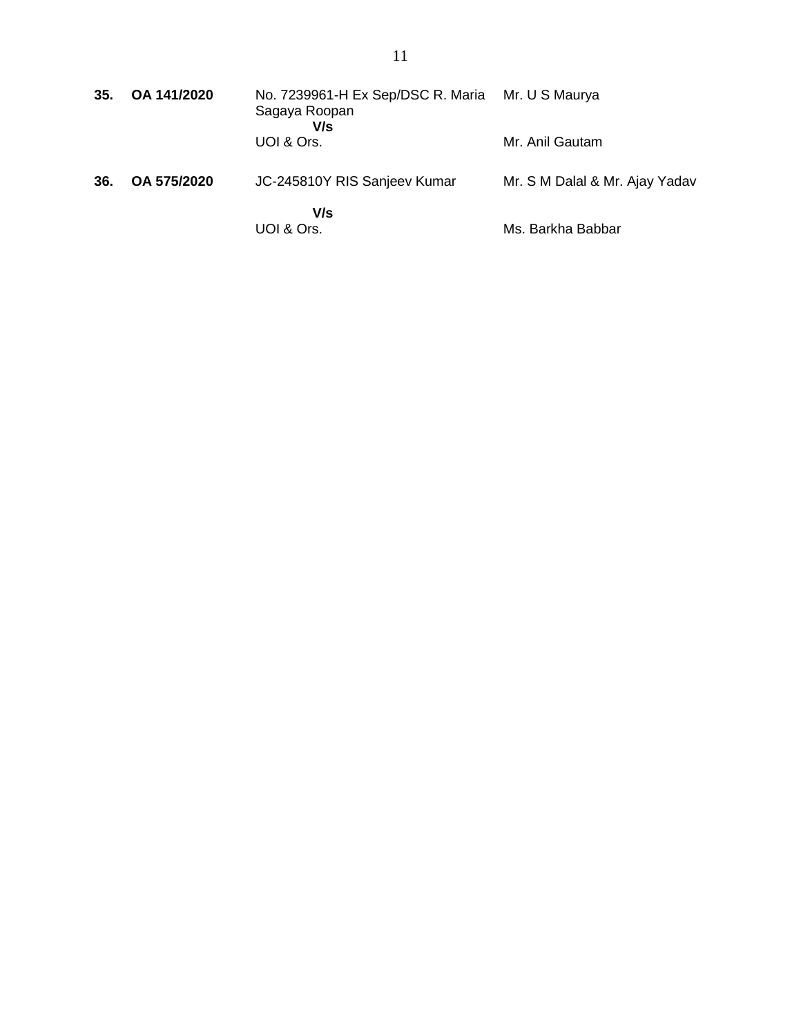| 35. | OA 141/2020 | No. 7239961-H Ex Sep/DSC R. Maria<br>Sagaya Roopan<br>V/s | Mr. U S Maurya                 |
|-----|-------------|-----------------------------------------------------------|--------------------------------|
|     |             | UOI & Ors.                                                | Mr. Anil Gautam                |
| 36. | OA 575/2020 | JC-245810Y RIS Sanjeev Kumar                              | Mr. S M Dalal & Mr. Ajay Yadav |
|     |             | V/s<br>UOI & Ors.                                         | Ms. Barkha Babbar              |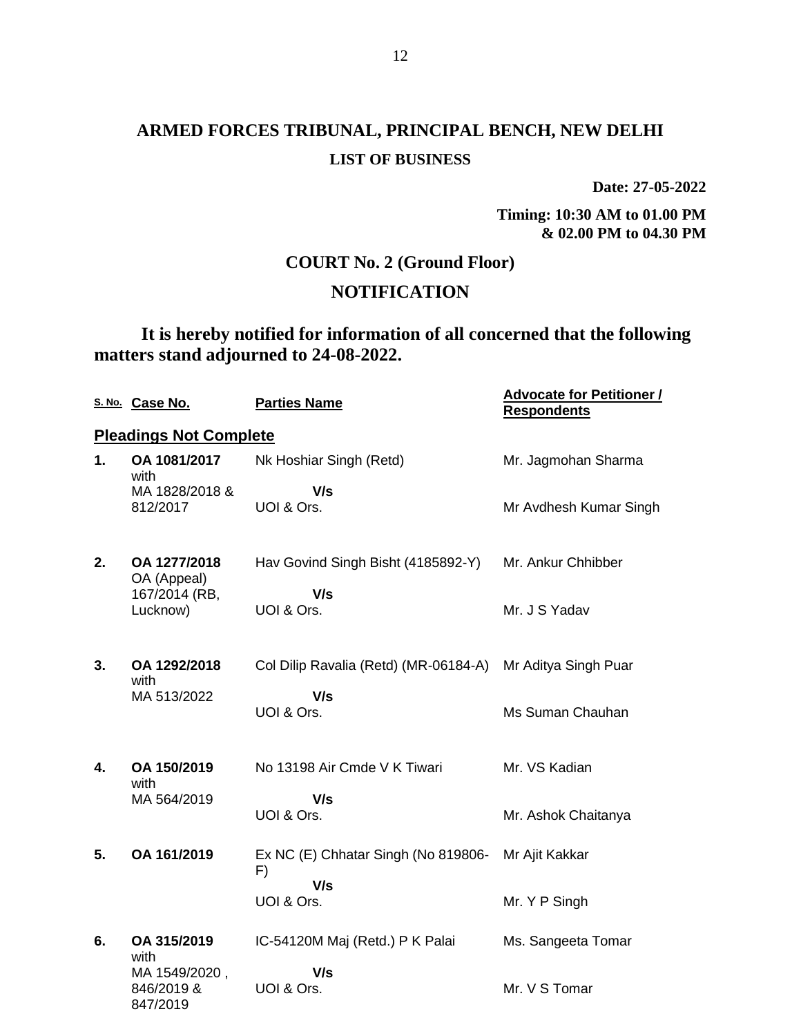**Date: 27-05-2022**

**Timing: 10:30 AM to 01.00 PM & 02.00 PM to 04.30 PM**

## **COURT No. 2 (Ground Floor)**

## **NOTIFICATION**

## **It is hereby notified for information of all concerned that the following matters stand adjourned to 24-08-2022.**

|    | S. No. Case No.                         | <b>Parties Name</b>                       | <b>Advocate for Petitioner /</b><br><b>Respondents</b> |
|----|-----------------------------------------|-------------------------------------------|--------------------------------------------------------|
|    | <b>Pleadings Not Complete</b>           |                                           |                                                        |
| 1. | OA 1081/2017<br>with                    | Nk Hoshiar Singh (Retd)                   | Mr. Jagmohan Sharma                                    |
|    | MA 1828/2018 &<br>812/2017              | V/s<br>UOI & Ors.                         | Mr Avdhesh Kumar Singh                                 |
| 2. | OA 1277/2018<br>OA (Appeal)             | Hav Govind Singh Bisht (4185892-Y)        | Mr. Ankur Chhibber                                     |
|    | 167/2014 (RB,<br>Lucknow)               | V/s<br>UOI & Ors.                         | Mr. J S Yadav                                          |
| 3. | OA 1292/2018<br>with                    | Col Dilip Ravalia (Retd) (MR-06184-A)     | Mr Aditya Singh Puar                                   |
|    | MA 513/2022                             | V/s<br>UOI & Ors.                         | Ms Suman Chauhan                                       |
| 4. | OA 150/2019<br>with                     | No 13198 Air Cmde V K Tiwari              | Mr. VS Kadian                                          |
|    | MA 564/2019                             | V/s<br>UOI & Ors.                         | Mr. Ashok Chaitanya                                    |
| 5. | OA 161/2019                             | Ex NC (E) Chhatar Singh (No 819806-<br>F) | Mr Ajit Kakkar                                         |
|    |                                         | V/s<br>UOI & Ors.                         | Mr. Y P Singh                                          |
| 6. | OA 315/2019<br>with                     | IC-54120M Maj (Retd.) P K Palai           | Ms. Sangeeta Tomar                                     |
|    | MA 1549/2020,<br>846/2019 &<br>847/2019 | V/s<br>UOI & Ors.                         | Mr. V S Tomar                                          |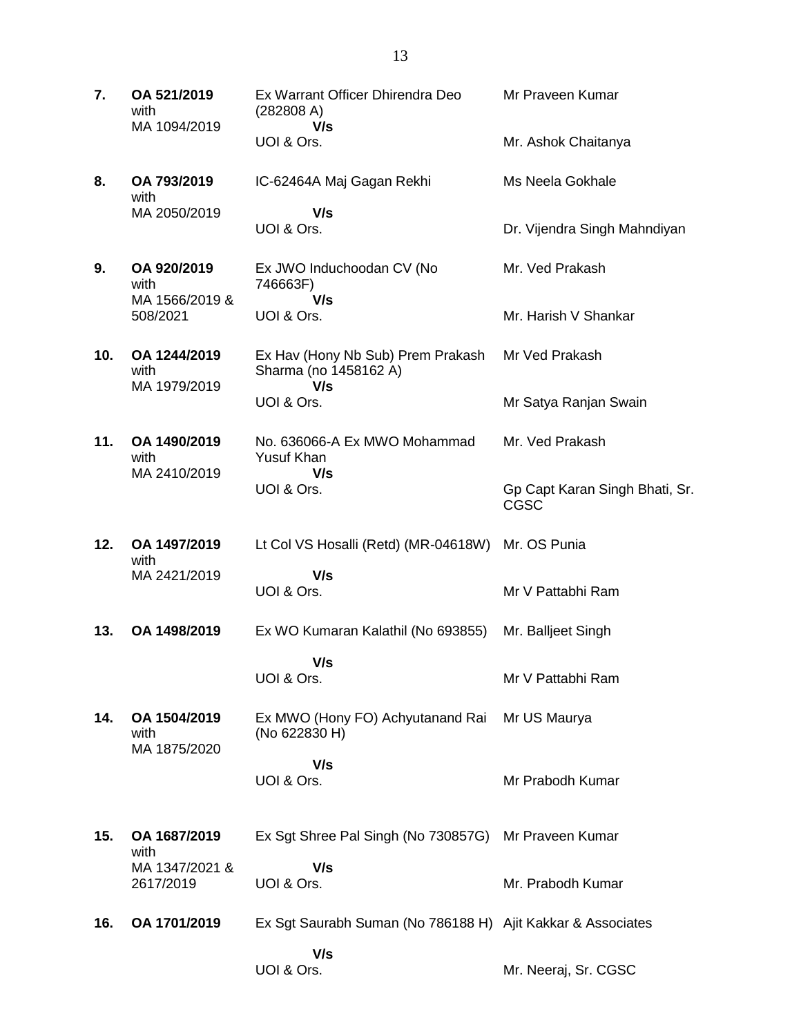**7. OA 521/2019** with MA 1094/2019 Ex Warrant Officer Dhirendra Deo (282808 A)  **V/s** UOI & Ors. Mr Praveen Kumar Mr. Ashok Chaitanya **8. OA 793/2019** with MA 2050/2019 IC-62464A Maj Gagan Rekhi  **V/s** UOI & Ors. Ms Neela Gokhale Dr. Vijendra Singh Mahndiyan **9. OA 920/2019** with MA 1566/2019 & 508/2021 Ex JWO Induchoodan CV (No 746663F)  **V/s** UOI & Ors. Mr. Ved Prakash Mr. Harish V Shankar **10. OA 1244/2019** with MA 1979/2019 Ex Hav (Hony Nb Sub) Prem Prakash Sharma (no 1458162 A)  **V/s** UOI & Ors. Mr Ved Prakash Mr Satya Ranjan Swain **11. OA 1490/2019** with MA 2410/2019 No. 636066-A Ex MWO Mohammad Yusuf Khan  **V/s** UOI & Ors. Mr. Ved Prakash Gp Capt Karan Singh Bhati, Sr. CGSC **12. OA 1497/2019** with MA 2421/2019 Lt Col VS Hosalli (Retd) (MR-04618W) Mr. OS Punia  **V/s** UOI & Ors. Mr V Pattabhi Ram **13. OA 1498/2019** Ex WO Kumaran Kalathil (No 693855)  **V/s** UOI & Ors. Mr. Balljeet Singh Mr V Pattabhi Ram **14. OA 1504/2019** with MA 1875/2020 Ex MWO (Hony FO) Achyutanand Rai Mr US Maurya (No 622830 H)  **V/s** UOI & Ors. Mr Prabodh Kumar **15. OA 1687/2019** with MA 1347/2021 & 2617/2019 Ex Sgt Shree Pal Singh (No 730857G) Mr Praveen Kumar  **V/s** UOI & Ors. Mr. Prabodh Kumar **16. OA 1701/2019** Ex Sgt Saurabh Suman (No 786188 H) Ajit Kakkar & Associates  **V/s** UOI & Ors. Mr. Neeraj, Sr. CGSC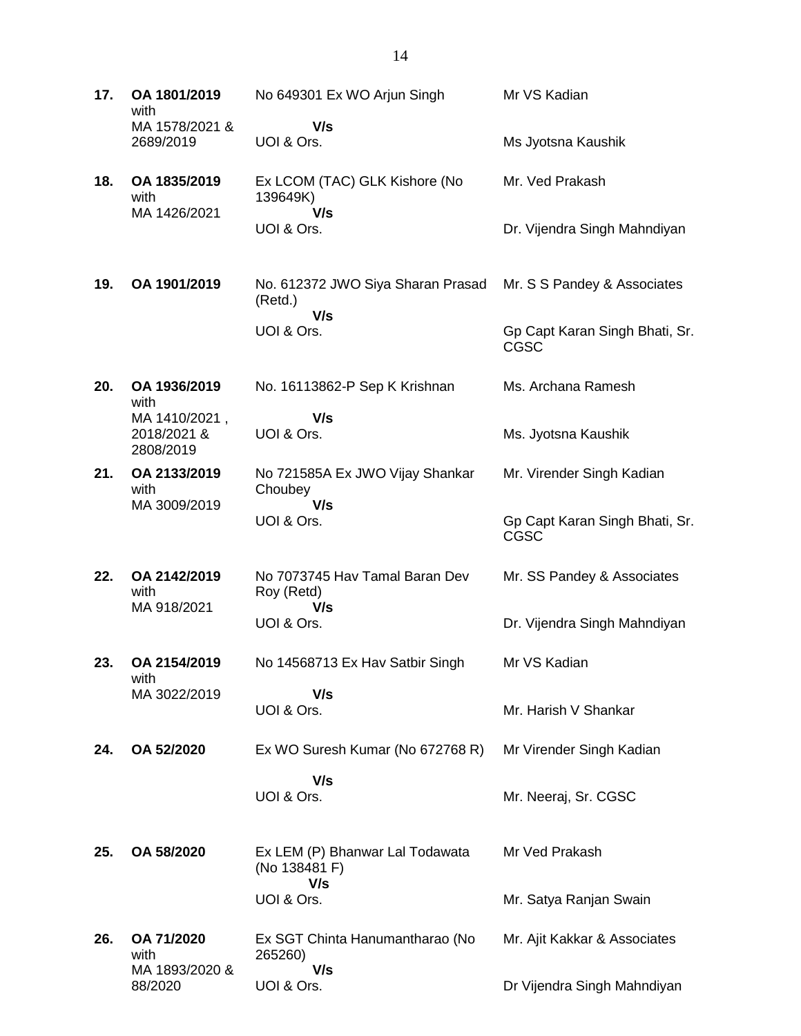| 17. | OA 1801/2019<br>with                      | No 649301 Ex WO Arjun Singh                             | Mr VS Kadian                           |
|-----|-------------------------------------------|---------------------------------------------------------|----------------------------------------|
|     | MA 1578/2021 &<br>2689/2019               | V/s<br>UOI & Ors.                                       | Ms Jyotsna Kaushik                     |
| 18. | OA 1835/2019<br>with                      | Ex LCOM (TAC) GLK Kishore (No<br>139649K)               | Mr. Ved Prakash                        |
|     | MA 1426/2021                              | V/s<br>UOI & Ors.                                       | Dr. Vijendra Singh Mahndiyan           |
| 19. | OA 1901/2019                              | No. 612372 JWO Siya Sharan Prasad<br>(Retd.)            | Mr. S S Pandey & Associates            |
|     |                                           | V/s<br>UOI & Ors.                                       | Gp Capt Karan Singh Bhati, Sr.<br>CGSC |
| 20. | OA 1936/2019<br>with                      | No. 16113862-P Sep K Krishnan                           | Ms. Archana Ramesh                     |
|     | MA 1410/2021,<br>2018/2021 &<br>2808/2019 | V/s<br>UOI & Ors.                                       | Ms. Jyotsna Kaushik                    |
| 21. | OA 2133/2019<br>with                      | No 721585A Ex JWO Vijay Shankar<br>Choubey              | Mr. Virender Singh Kadian              |
|     | MA 3009/2019                              | V/s<br>UOI & Ors.                                       | Gp Capt Karan Singh Bhati, Sr.<br>CGSC |
| 22. | OA 2142/2019<br>with                      | No 7073745 Hav Tamal Baran Dev<br>Roy (Retd)            | Mr. SS Pandey & Associates             |
|     | MA 918/2021                               | V/s<br>UOI & Ors.                                       | Dr. Vijendra Singh Mahndiyan           |
| 23. | OA 2154/2019<br>with                      | No 14568713 Ex Hav Satbir Singh                         | Mr VS Kadian                           |
|     | MA 3022/2019                              | V/s<br>UOI & Ors.                                       | Mr. Harish V Shankar                   |
| 24. | OA 52/2020                                | Ex WO Suresh Kumar (No 672768 R)                        | Mr Virender Singh Kadian               |
|     |                                           | V/s<br>UOI & Ors.                                       | Mr. Neeraj, Sr. CGSC                   |
| 25. | OA 58/2020                                | Ex LEM (P) Bhanwar Lal Todawata<br>(No 138481 F)<br>V/s | Mr Ved Prakash                         |
|     |                                           | UOI & Ors.                                              | Mr. Satya Ranjan Swain                 |
| 26. | OA 71/2020<br>with<br>MA 1893/2020 &      | Ex SGT Chinta Hanumantharao (No<br>265260)<br>V/s       | Mr. Ajit Kakkar & Associates           |

Dr Vijendra Singh Mahndiyan

88/2020

UOI & Ors.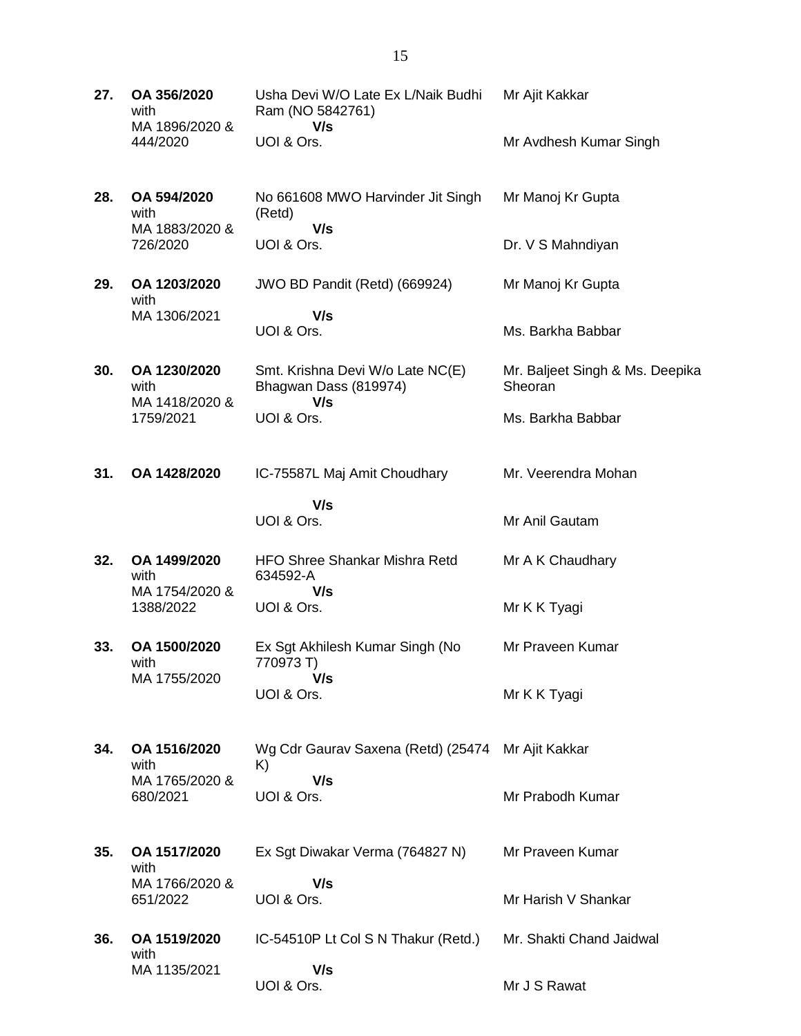| 27. | OA 356/2020<br>with<br>MA 1896/2020 &<br>444/2020 | Usha Devi W/O Late Ex L/Naik Budhi<br>Ram (NO 5842761)<br>V/s    | Mr Ajit Kakkar                             |
|-----|---------------------------------------------------|------------------------------------------------------------------|--------------------------------------------|
|     |                                                   | UOI & Ors.                                                       | Mr Avdhesh Kumar Singh                     |
| 28. | OA 594/2020<br>with<br>MA 1883/2020 &             | No 661608 MWO Harvinder Jit Singh<br>(Retd)<br>V/s               | Mr Manoj Kr Gupta                          |
|     | 726/2020                                          | UOI & Ors.                                                       | Dr. V S Mahndiyan                          |
| 29. | OA 1203/2020<br>with<br>MA 1306/2021              | JWO BD Pandit (Retd) (669924)<br>V/s                             | Mr Manoj Kr Gupta                          |
|     |                                                   | UOI & Ors.                                                       | Ms. Barkha Babbar                          |
| 30. | OA 1230/2020<br>with<br>MA 1418/2020 &            | Smt. Krishna Devi W/o Late NC(E)<br>Bhagwan Dass (819974)<br>V/s | Mr. Baljeet Singh & Ms. Deepika<br>Sheoran |
|     | 1759/2021                                         | UOI & Ors.                                                       | Ms. Barkha Babbar                          |
| 31. | OA 1428/2020                                      | IC-75587L Maj Amit Choudhary                                     | Mr. Veerendra Mohan                        |
|     |                                                   | V/s<br>UOI & Ors.                                                | Mr Anil Gautam                             |
| 32. | OA 1499/2020<br>with<br>MA 1754/2020 &            | <b>HFO Shree Shankar Mishra Retd</b><br>634592-A<br>V/s          | Mr A K Chaudhary                           |
|     | 1388/2022                                         | UOI & Ors.                                                       | Mr K K Tyagi                               |
| 33. | OA 1500/2020<br>with<br>MA 1755/2020              | Ex Sgt Akhilesh Kumar Singh (No<br>770973 T)<br>V/s              | Mr Praveen Kumar                           |
|     |                                                   | UOI & Ors.                                                       | Mr K K Tyagi                               |
| 34. | OA 1516/2020<br>with                              | Wg Cdr Gaurav Saxena (Retd) (25474<br>K)<br>V/s                  | Mr Ajit Kakkar                             |
|     | MA 1765/2020 &<br>680/2021                        | UOI & Ors.                                                       | Mr Prabodh Kumar                           |
| 35. | OA 1517/2020<br>with                              | Ex Sgt Diwakar Verma (764827 N)                                  | Mr Praveen Kumar                           |
|     | MA 1766/2020 &<br>651/2022                        | V/s<br>UOI & Ors.                                                | Mr Harish V Shankar                        |
| 36. | OA 1519/2020                                      | IC-54510P Lt Col S N Thakur (Retd.)                              | Mr. Shakti Chand Jaidwal                   |
|     | with<br>MA 1135/2021                              | V/s<br>UOI & Ors.                                                | Mr J S Rawat                               |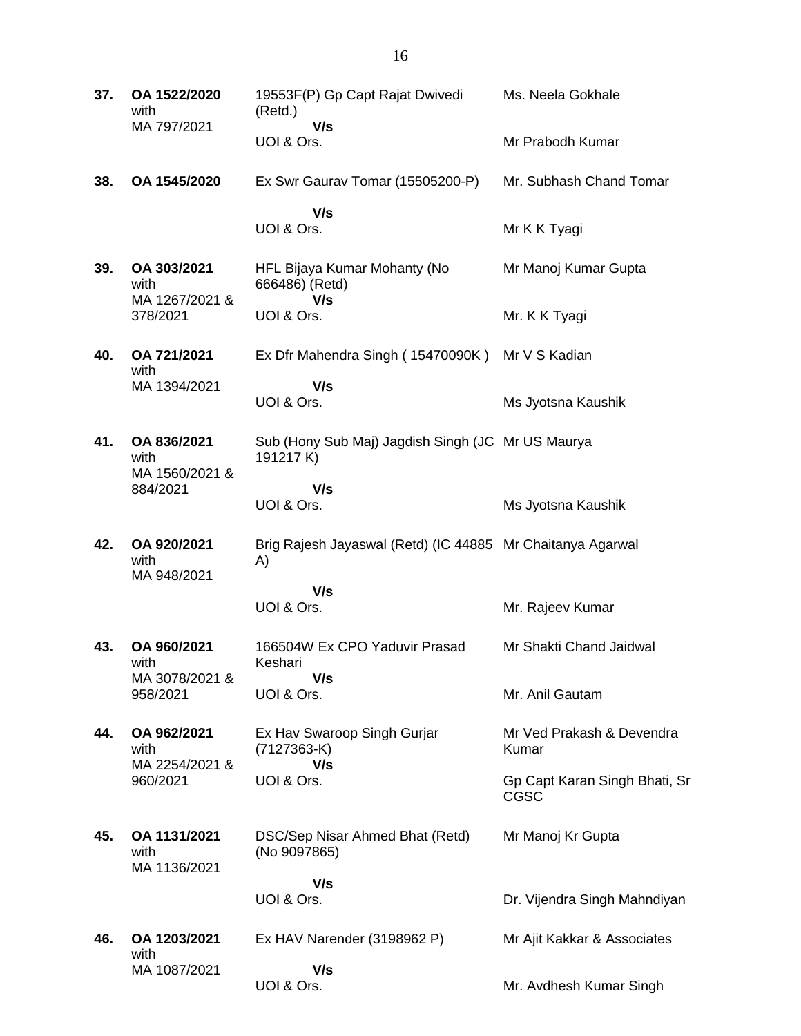| 37. | OA 1522/2020<br>with                  | 19553F(P) Gp Capt Rajat Dwivedi<br>(Retd.)                       | Ms. Neela Gokhale                     |
|-----|---------------------------------------|------------------------------------------------------------------|---------------------------------------|
|     | MA 797/2021                           | V/s<br>UOI & Ors.                                                | Mr Prabodh Kumar                      |
| 38. | OA 1545/2020                          | Ex Swr Gaurav Tomar (15505200-P)                                 | Mr. Subhash Chand Tomar               |
|     |                                       | V/s<br>UOI & Ors.                                                | Mr K K Tyagi                          |
| 39. | OA 303/2021<br>with                   | HFL Bijaya Kumar Mohanty (No<br>666486) (Retd)                   | Mr Manoj Kumar Gupta                  |
|     | MA 1267/2021 &<br>378/2021            | V/s<br>UOI & Ors.                                                | Mr. K K Tyagi                         |
| 40. | OA 721/2021<br>with                   | Ex Dfr Mahendra Singh (15470090K) Mr V S Kadian                  |                                       |
|     | MA 1394/2021                          | V/s<br>UOI & Ors.                                                | Ms Jyotsna Kaushik                    |
| 41. | OA 836/2021<br>with<br>MA 1560/2021 & | Sub (Hony Sub Maj) Jagdish Singh (JC Mr US Maurya<br>191217 K)   |                                       |
|     | 884/2021                              | V/s<br>UOI & Ors.                                                | Ms Jyotsna Kaushik                    |
| 42. | OA 920/2021<br>with<br>MA 948/2021    | Brig Rajesh Jayaswal (Retd) (IC 44885 Mr Chaitanya Agarwal<br>A) |                                       |
|     |                                       | V/s<br>UOI & Ors.                                                | Mr. Rajeev Kumar                      |
| 43. | OA 960/2021<br>with                   | 166504W Ex CPO Yaduvir Prasad<br>Keshari                         | Mr Shakti Chand Jaidwal               |
|     | MA 3078/2021 &<br>958/2021            | V/s<br>UOI & Ors.                                                | Mr. Anil Gautam                       |
| 44. | OA 962/2021<br>with                   | Ex Hav Swaroop Singh Gurjar<br>$(7127363-K)$                     | Mr Ved Prakash & Devendra<br>Kumar    |
|     | MA 2254/2021 &<br>960/2021            | V/s<br>UOI & Ors.                                                | Gp Capt Karan Singh Bhati, Sr<br>CGSC |
| 45. | OA 1131/2021<br>with<br>MA 1136/2021  | DSC/Sep Nisar Ahmed Bhat (Retd)<br>(No 9097865)                  | Mr Manoj Kr Gupta                     |
|     |                                       | V/s<br>UOI & Ors.                                                | Dr. Vijendra Singh Mahndiyan          |
| 46. | OA 1203/2021<br>with                  | Ex HAV Narender (3198962 P)                                      | Mr Ajit Kakkar & Associates           |
|     | MA 1087/2021                          | V/s<br>UOI & Ors.                                                | Mr. Avdhesh Kumar Singh               |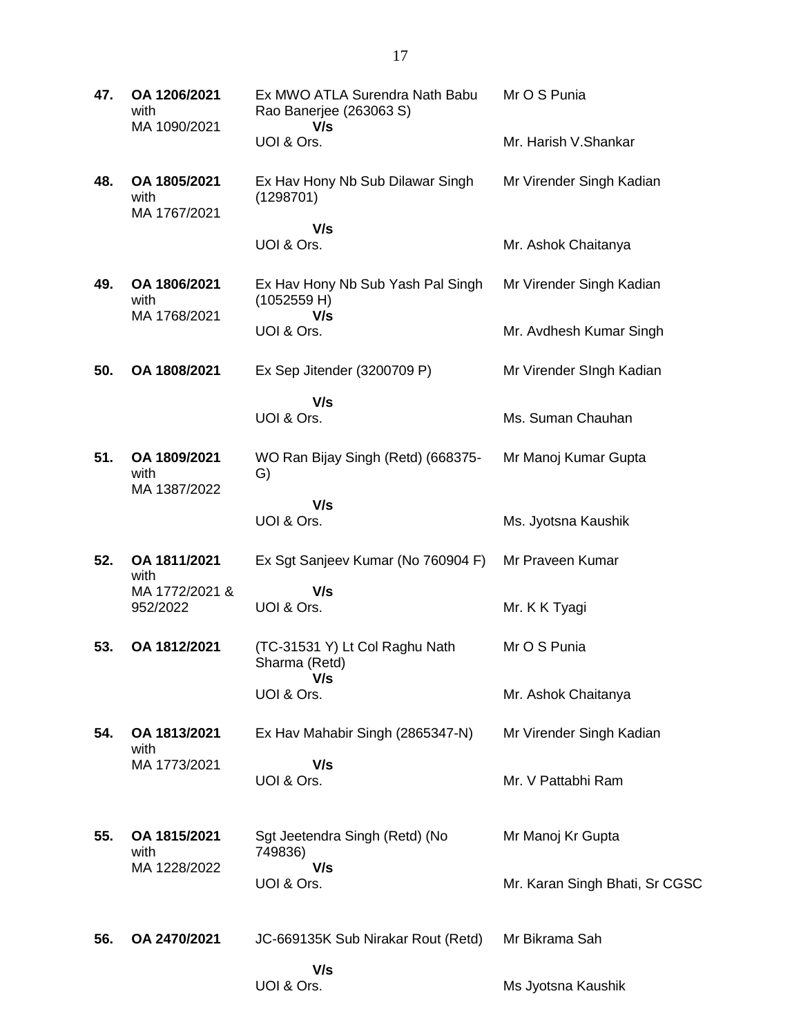| 47. | OA 1206/2021<br>with<br>MA 1090/2021 | Ex MWO ATLA Surendra Nath Babu<br>Rao Banerjee (263063 S)<br>V/s | Mr O S Punia                   |
|-----|--------------------------------------|------------------------------------------------------------------|--------------------------------|
|     |                                      | UOI & Ors.                                                       | Mr. Harish V.Shankar           |
| 48. | OA 1805/2021<br>with<br>MA 1767/2021 | Ex Hav Hony Nb Sub Dilawar Singh<br>(1298701)                    | Mr Virender Singh Kadian       |
|     |                                      | V/s<br>UOI & Ors.                                                | Mr. Ashok Chaitanya            |
| 49. | OA 1806/2021<br>with<br>MA 1768/2021 | Ex Hav Hony Nb Sub Yash Pal Singh<br>(1052559 H)<br>V/s          | Mr Virender Singh Kadian       |
|     |                                      | UOI & Ors.                                                       | Mr. Avdhesh Kumar Singh        |
| 50. | OA 1808/2021                         | Ex Sep Jitender (3200709 P)                                      | Mr Virender SIngh Kadian       |
|     |                                      | V/s<br>UOI & Ors.                                                | Ms. Suman Chauhan              |
| 51. | OA 1809/2021<br>with<br>MA 1387/2022 | WO Ran Bijay Singh (Retd) (668375-<br>G)                         | Mr Manoj Kumar Gupta           |
|     |                                      | V/s<br>UOI & Ors.                                                | Ms. Jyotsna Kaushik            |
| 52. | OA 1811/2021<br>with                 | Ex Sgt Sanjeev Kumar (No 760904 F)                               | Mr Praveen Kumar               |
|     | MA 1772/2021 &<br>952/2022           | V/s<br>UOI & Ors.                                                | Mr. K K Tyagi                  |
| 53. | OA 1812/2021                         | (TC-31531 Y) Lt Col Raghu Nath<br>Sharma (Retd)<br>V/s           | Mr O S Punia                   |
|     |                                      | UOI & Ors.                                                       | Mr. Ashok Chaitanya            |
| 54. | OA 1813/2021<br>with                 | Ex Hav Mahabir Singh (2865347-N)                                 | Mr Virender Singh Kadian       |
|     | MA 1773/2021                         | V/s<br>UOI & Ors.                                                | Mr. V Pattabhi Ram             |
| 55. | OA 1815/2021<br>with                 | Sgt Jeetendra Singh (Retd) (No<br>749836)                        | Mr Manoj Kr Gupta              |
|     | MA 1228/2022                         | V/s<br>UOI & Ors.                                                | Mr. Karan Singh Bhati, Sr CGSC |
| 56. | OA 2470/2021                         | JC-669135K Sub Nirakar Rout (Retd)                               | Mr Bikrama Sah                 |
|     |                                      | V/s<br>UOI & Ors.                                                | Ms Jyotsna Kaushik             |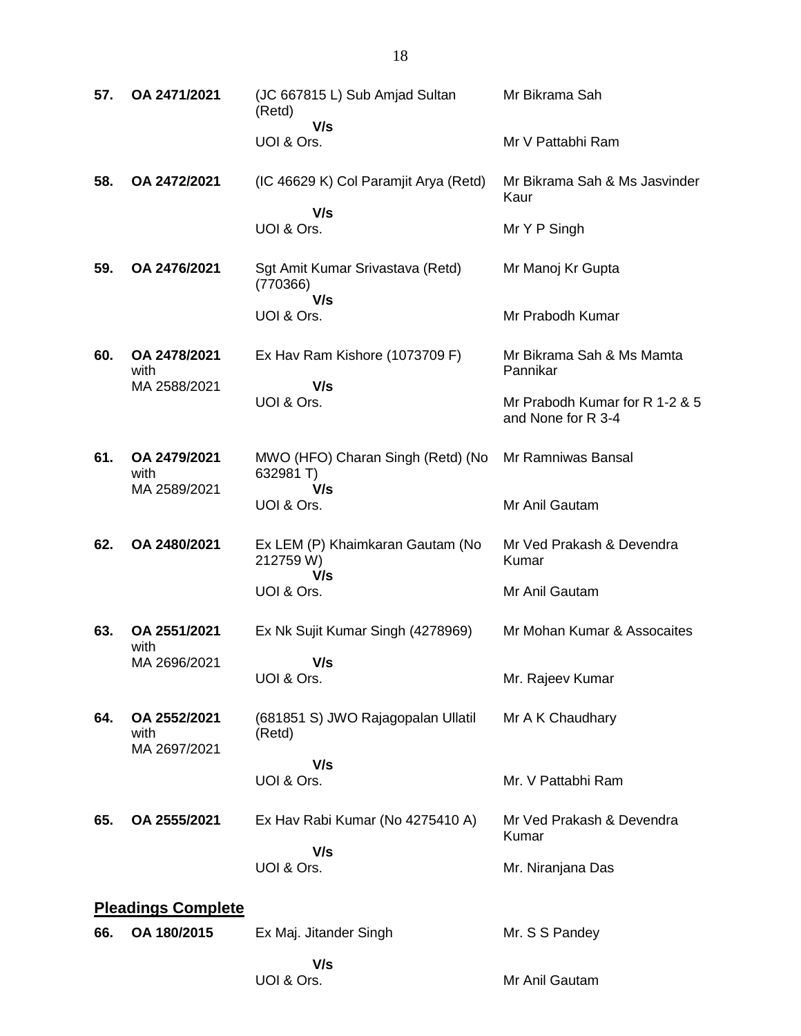| 57. | OA 2471/2021                         | (JC 667815 L) Sub Amjad Sultan<br>(Retd)             | Mr Bikrama Sah                                       |
|-----|--------------------------------------|------------------------------------------------------|------------------------------------------------------|
|     |                                      | V/s<br>UOI & Ors.                                    | Mr V Pattabhi Ram                                    |
| 58. | OA 2472/2021                         | (IC 46629 K) Col Paramjit Arya (Retd)                | Mr Bikrama Sah & Ms Jasvinder<br>Kaur                |
|     |                                      | V/s<br>UOI & Ors.                                    | Mr Y P Singh                                         |
| 59. | OA 2476/2021                         | Sgt Amit Kumar Srivastava (Retd)<br>(770366)<br>V/s  | Mr Manoj Kr Gupta                                    |
|     |                                      | UOI & Ors.                                           | Mr Prabodh Kumar                                     |
| 60. | OA 2478/2021<br>with                 | Ex Hav Ram Kishore (1073709 F)                       | Mr Bikrama Sah & Ms Mamta<br>Pannikar                |
|     | MA 2588/2021                         | V/s<br>UOI & Ors.                                    | Mr Prabodh Kumar for R 1-2 & 5<br>and None for R 3-4 |
| 61. | OA 2479/2021<br>with                 | MWO (HFO) Charan Singh (Retd) (No<br>632981 T)       | Mr Ramniwas Bansal                                   |
|     | MA 2589/2021                         | V/s<br>UOI & Ors.                                    | Mr Anil Gautam                                       |
| 62. | OA 2480/2021                         | Ex LEM (P) Khaimkaran Gautam (No<br>212759 W)<br>V/s | Mr Ved Prakash & Devendra<br>Kumar                   |
|     |                                      | UOI & Ors.                                           | Mr Anil Gautam                                       |
| 63. | OA 2551/2021<br>with                 | Ex Nk Sujit Kumar Singh (4278969)                    | Mr Mohan Kumar & Assocaites                          |
|     | MA 2696/2021                         | V/s<br>UOI & Ors.                                    | Mr. Rajeev Kumar                                     |
| 64. | OA 2552/2021<br>with<br>MA 2697/2021 | (681851 S) JWO Rajagopalan Ullatil<br>(Retd)         | Mr A K Chaudhary                                     |
|     |                                      | V/s                                                  |                                                      |
|     |                                      | UOI & Ors.                                           | Mr. V Pattabhi Ram                                   |
| 65. | OA 2555/2021                         | Ex Hav Rabi Kumar (No 4275410 A)                     | Mr Ved Prakash & Devendra<br>Kumar                   |
|     |                                      | V/s<br>UOI & Ors.                                    | Mr. Niranjana Das                                    |
|     | <b>Pleadings Complete</b>            |                                                      |                                                      |
| 66. | OA 180/2015                          | Ex Maj. Jitander Singh                               | Mr. S S Pandey                                       |
|     |                                      | V/s<br>UOI & Ors.                                    | Mr Anil Gautam                                       |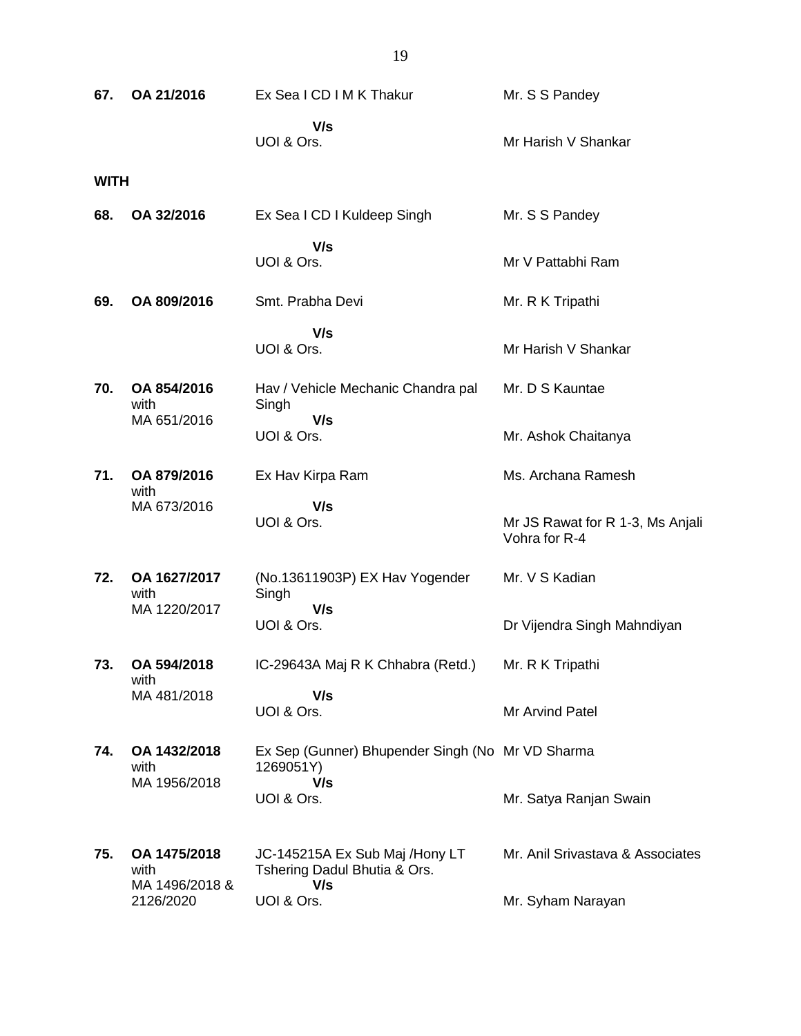| 67.         | OA 21/2016                             | Ex Sea I CD I M K Thakur                                              | Mr. S S Pandey                                    |
|-------------|----------------------------------------|-----------------------------------------------------------------------|---------------------------------------------------|
|             |                                        | V/s<br>UOI & Ors.                                                     | Mr Harish V Shankar                               |
| <b>WITH</b> |                                        |                                                                       |                                                   |
| 68.         | OA 32/2016                             | Ex Sea I CD I Kuldeep Singh                                           | Mr. S S Pandey                                    |
|             |                                        | V/s<br>UOI & Ors.                                                     | Mr V Pattabhi Ram                                 |
| 69.         | OA 809/2016                            | Smt. Prabha Devi                                                      | Mr. R K Tripathi                                  |
|             |                                        | V/s<br>UOI & Ors.                                                     | Mr Harish V Shankar                               |
| 70.         | OA 854/2016<br>with                    | Hav / Vehicle Mechanic Chandra pal<br>Singh                           | Mr. D S Kauntae                                   |
|             | MA 651/2016                            | V/s<br>UOI & Ors.                                                     | Mr. Ashok Chaitanya                               |
| 71.         | OA 879/2016<br>with                    | Ex Hav Kirpa Ram                                                      | Ms. Archana Ramesh                                |
|             | MA 673/2016                            | V/s<br>UOI & Ors.                                                     | Mr JS Rawat for R 1-3, Ms Anjali<br>Vohra for R-4 |
| 72.         | OA 1627/2017<br>with                   | (No.13611903P) EX Hav Yogender<br>Singh                               | Mr. V S Kadian                                    |
|             | MA 1220/2017                           | V/s<br>UOI & Ors.                                                     | Dr Vijendra Singh Mahndiyan                       |
| 73.         | OA 594/2018<br>with                    | IC-29643A Maj R K Chhabra (Retd.)                                     | Mr. R K Tripathi                                  |
|             | MA 481/2018                            | V/s<br>UOI & Ors.                                                     | Mr Arvind Patel                                   |
| 74.         | OA 1432/2018<br>with                   | Ex Sep (Gunner) Bhupender Singh (No Mr VD Sharma<br>1269051Y)         |                                                   |
|             | MA 1956/2018                           | V/s<br>UOI & Ors.                                                     | Mr. Satya Ranjan Swain                            |
| 75.         | OA 1475/2018<br>with<br>MA 1496/2018 & | JC-145215A Ex Sub Maj /Hony LT<br>Tshering Dadul Bhutia & Ors.<br>V/s | Mr. Anil Srivastava & Associates                  |
|             | 2126/2020                              | UOI & Ors.                                                            | Mr. Syham Narayan                                 |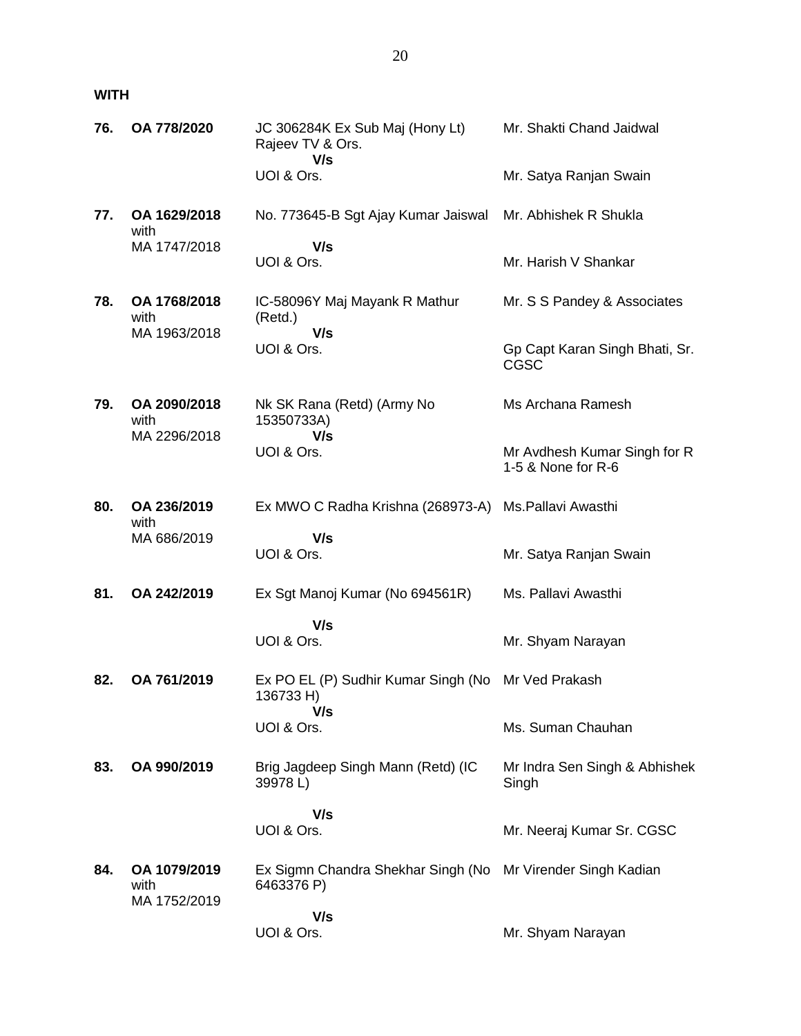### **WITH**

| 76. | OA 778/2020                          | JC 306284K Ex Sub Maj (Hony Lt)<br>Rajeev TV & Ors.<br>V/s | Mr. Shakti Chand Jaidwal                           |
|-----|--------------------------------------|------------------------------------------------------------|----------------------------------------------------|
|     |                                      | UOI & Ors.                                                 | Mr. Satya Ranjan Swain                             |
| 77. | OA 1629/2018<br>with                 | No. 773645-B Sgt Ajay Kumar Jaiswal                        | Mr. Abhishek R Shukla                              |
|     | MA 1747/2018                         | V/s<br>UOI & Ors.                                          | Mr. Harish V Shankar                               |
| 78. | OA 1768/2018<br>with<br>MA 1963/2018 | IC-58096Y Maj Mayank R Mathur<br>(Retd.)<br>V/s            | Mr. S S Pandey & Associates                        |
|     |                                      | UOI & Ors.                                                 | Gp Capt Karan Singh Bhati, Sr.<br><b>CGSC</b>      |
| 79. | OA 2090/2018<br>with<br>MA 2296/2018 | Nk SK Rana (Retd) (Army No<br>15350733A)<br>V/s            | Ms Archana Ramesh                                  |
|     |                                      | UOI & Ors.                                                 | Mr Avdhesh Kumar Singh for R<br>1-5 & None for R-6 |
| 80. | OA 236/2019<br>with                  | Ex MWO C Radha Krishna (268973-A)                          | Ms.Pallavi Awasthi                                 |
|     | MA 686/2019                          | V/s<br>UOI & Ors.                                          | Mr. Satya Ranjan Swain                             |
| 81. | OA 242/2019                          | Ex Sgt Manoj Kumar (No 694561R)                            | Ms. Pallavi Awasthi                                |
|     |                                      | V/s<br>UOI & Ors.                                          | Mr. Shyam Narayan                                  |
| 82. | OA 761/2019                          | Ex PO EL (P) Sudhir Kumar Singh (No<br>136733 H)           | Mr Ved Prakash                                     |
|     |                                      | V/s<br>UOI & Ors.                                          | Ms. Suman Chauhan                                  |
| 83. | OA 990/2019                          | Brig Jagdeep Singh Mann (Retd) (IC<br>39978L)              | Mr Indra Sen Singh & Abhishek<br>Singh             |
|     |                                      | V/s<br>UOI & Ors.                                          | Mr. Neeraj Kumar Sr. CGSC                          |
| 84. | OA 1079/2019<br>with<br>MA 1752/2019 | Ex Sigmn Chandra Shekhar Singh (No<br>6463376 P)           | Mr Virender Singh Kadian                           |
|     |                                      | V/s<br>UOI & Ors.                                          | Mr. Shyam Narayan                                  |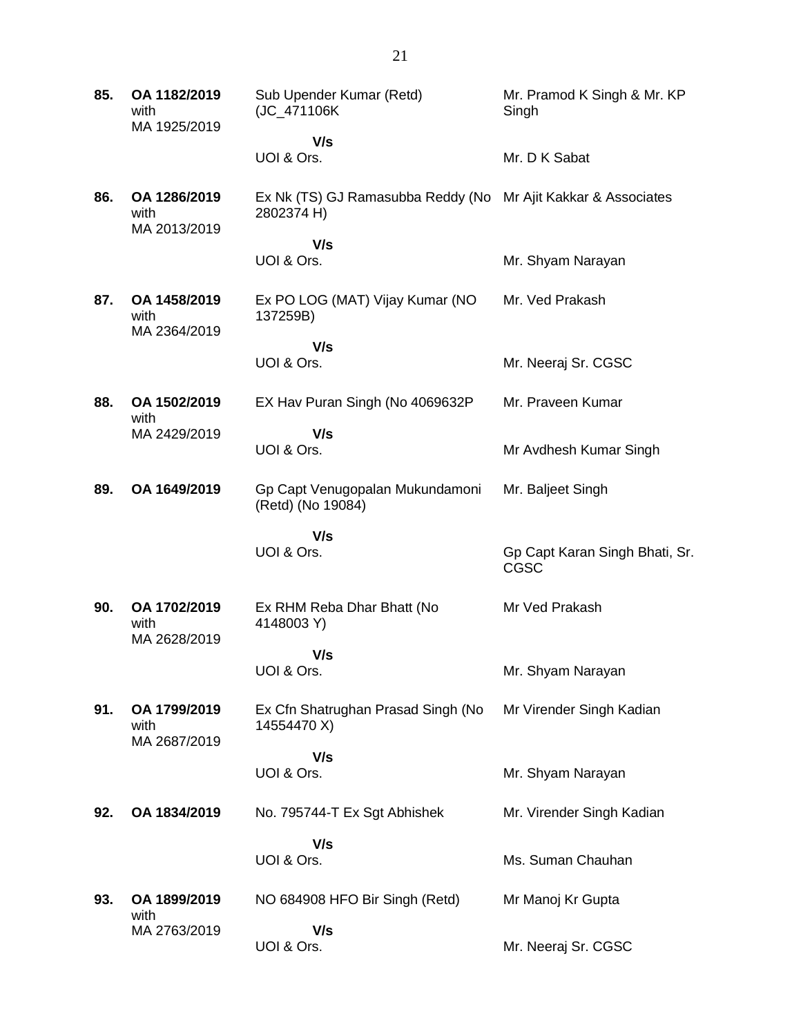| 85. | OA 1182/2019<br>with<br>MA 1925/2019 | Sub Upender Kumar (Retd)<br>(JC_471106K                                     | Mr. Pramod K Singh & Mr. KP<br>Singh   |
|-----|--------------------------------------|-----------------------------------------------------------------------------|----------------------------------------|
|     |                                      | V/s                                                                         |                                        |
|     |                                      | UOI & Ors.                                                                  | Mr. D K Sabat                          |
| 86. | OA 1286/2019<br>with<br>MA 2013/2019 | Ex Nk (TS) GJ Ramasubba Reddy (No Mr Ajit Kakkar & Associates<br>2802374 H) |                                        |
|     |                                      | V/s<br>UOI & Ors.                                                           | Mr. Shyam Narayan                      |
| 87. | OA 1458/2019<br>with<br>MA 2364/2019 | Ex PO LOG (MAT) Vijay Kumar (NO<br>137259B)                                 | Mr. Ved Prakash                        |
|     |                                      | V/s                                                                         |                                        |
|     |                                      | UOI & Ors.                                                                  | Mr. Neeraj Sr. CGSC                    |
| 88. | OA 1502/2019<br>with                 | EX Hav Puran Singh (No 4069632P                                             | Mr. Praveen Kumar                      |
|     | MA 2429/2019                         | V/s                                                                         |                                        |
|     |                                      | UOI & Ors.                                                                  | Mr Avdhesh Kumar Singh                 |
| 89. | OA 1649/2019                         | Gp Capt Venugopalan Mukundamoni<br>(Retd) (No 19084)                        | Mr. Baljeet Singh                      |
|     |                                      | V/s                                                                         |                                        |
|     |                                      | UOI & Ors.                                                                  | Gp Capt Karan Singh Bhati, Sr.<br>CGSC |
| 90. | OA 1702/2019<br>with                 | Ex RHM Reba Dhar Bhatt (No<br>4148003 Y)                                    | Mr Ved Prakash                         |
|     | MA 2628/2019                         | V/s                                                                         |                                        |
|     |                                      | UOI & Ors.                                                                  | Mr. Shyam Narayan                      |
| 91. | OA 1799/2019<br>with<br>MA 2687/2019 | Ex Cfn Shatrughan Prasad Singh (No<br>14554470 X)                           | Mr Virender Singh Kadian               |
|     |                                      | V/s                                                                         |                                        |
|     |                                      | UOI & Ors.                                                                  | Mr. Shyam Narayan                      |
| 92. | OA 1834/2019                         | No. 795744-T Ex Sgt Abhishek                                                | Mr. Virender Singh Kadian              |
|     |                                      | V/s                                                                         |                                        |
|     |                                      | UOI & Ors.                                                                  | Ms. Suman Chauhan                      |
| 93. | OA 1899/2019<br>with                 | NO 684908 HFO Bir Singh (Retd)                                              | Mr Manoj Kr Gupta                      |
|     | MA 2763/2019                         | V/s                                                                         |                                        |
|     |                                      | UOI & Ors.                                                                  | Mr. Neeraj Sr. CGSC                    |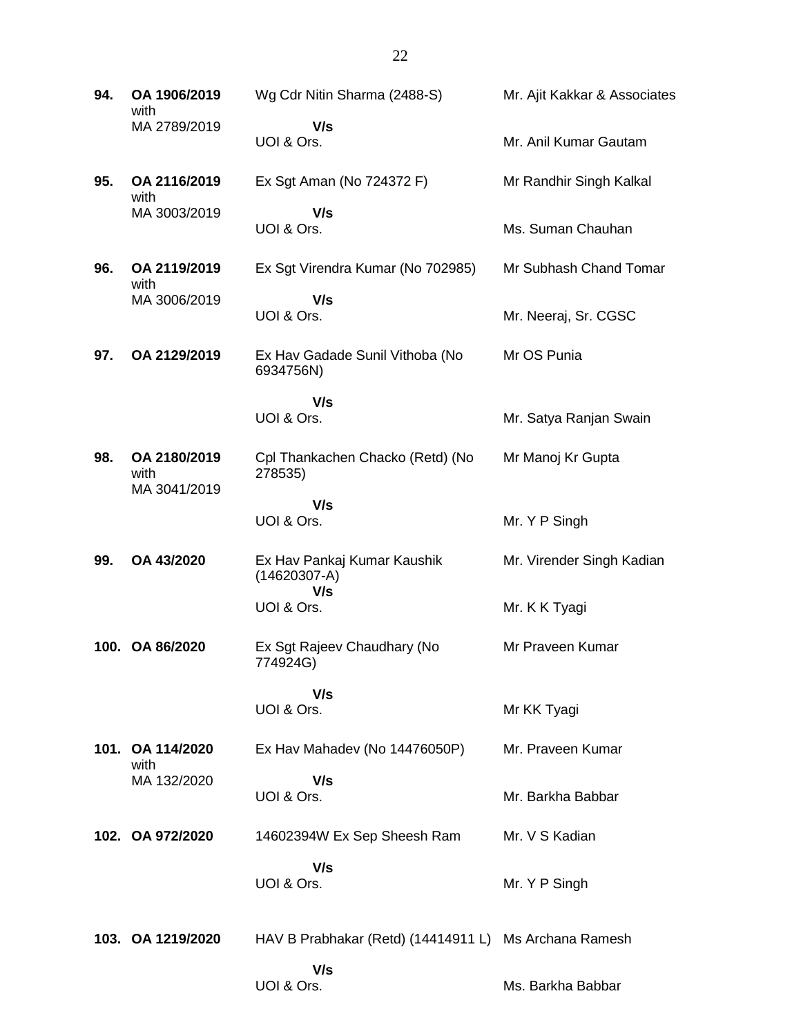| 94. | OA 1906/2019<br>with                 | Wg Cdr Nitin Sharma (2488-S)                          | Mr. Ajit Kakkar & Associates |
|-----|--------------------------------------|-------------------------------------------------------|------------------------------|
|     | MA 2789/2019                         | V/s<br>UOI & Ors.                                     | Mr. Anil Kumar Gautam        |
| 95. | OA 2116/2019<br>with                 | Ex Sgt Aman (No 724372 F)                             | Mr Randhir Singh Kalkal      |
|     | MA 3003/2019                         | V/s<br>UOI & Ors.                                     | Ms. Suman Chauhan            |
| 96. | OA 2119/2019<br>with                 | Ex Sgt Virendra Kumar (No 702985)                     | Mr Subhash Chand Tomar       |
|     | MA 3006/2019                         | V/s<br>UOI & Ors.                                     | Mr. Neeraj, Sr. CGSC         |
| 97. | OA 2129/2019                         | Ex Hav Gadade Sunil Vithoba (No<br>6934756N)          | Mr OS Punia                  |
|     |                                      | V/s<br>UOI & Ors.                                     | Mr. Satya Ranjan Swain       |
| 98. | OA 2180/2019<br>with<br>MA 3041/2019 | Cpl Thankachen Chacko (Retd) (No<br>278535)           | Mr Manoj Kr Gupta            |
|     |                                      | V/s<br>UOI & Ors.                                     | Mr. Y P Singh                |
| 99. | OA 43/2020                           | Ex Hav Pankaj Kumar Kaushik<br>$(14620307-A)$<br>V/s  | Mr. Virender Singh Kadian    |
|     |                                      | UOI & Ors.                                            | Mr. K K Tyagi                |
|     | 100. OA 86/2020                      | Ex Sgt Rajeev Chaudhary (No<br>774924G)               | Mr Praveen Kumar             |
|     |                                      | V/s<br>UOI & Ors.                                     | Mr KK Tyagi                  |
|     | 101. OA 114/2020<br>with             | Ex Hav Mahadev (No 14476050P)                         | Mr. Praveen Kumar            |
|     | MA 132/2020                          | V/s<br>UOI & Ors.                                     | Mr. Barkha Babbar            |
|     | 102. OA 972/2020                     | 14602394W Ex Sep Sheesh Ram                           | Mr. V S Kadian               |
|     |                                      | V/s<br>UOI & Ors.                                     | Mr. Y P Singh                |
|     | 103. OA 1219/2020                    | HAV B Prabhakar (Retd) (14414911 L) Ms Archana Ramesh |                              |
|     |                                      | V/s<br>UOI & Ors.                                     | Ms. Barkha Babbar            |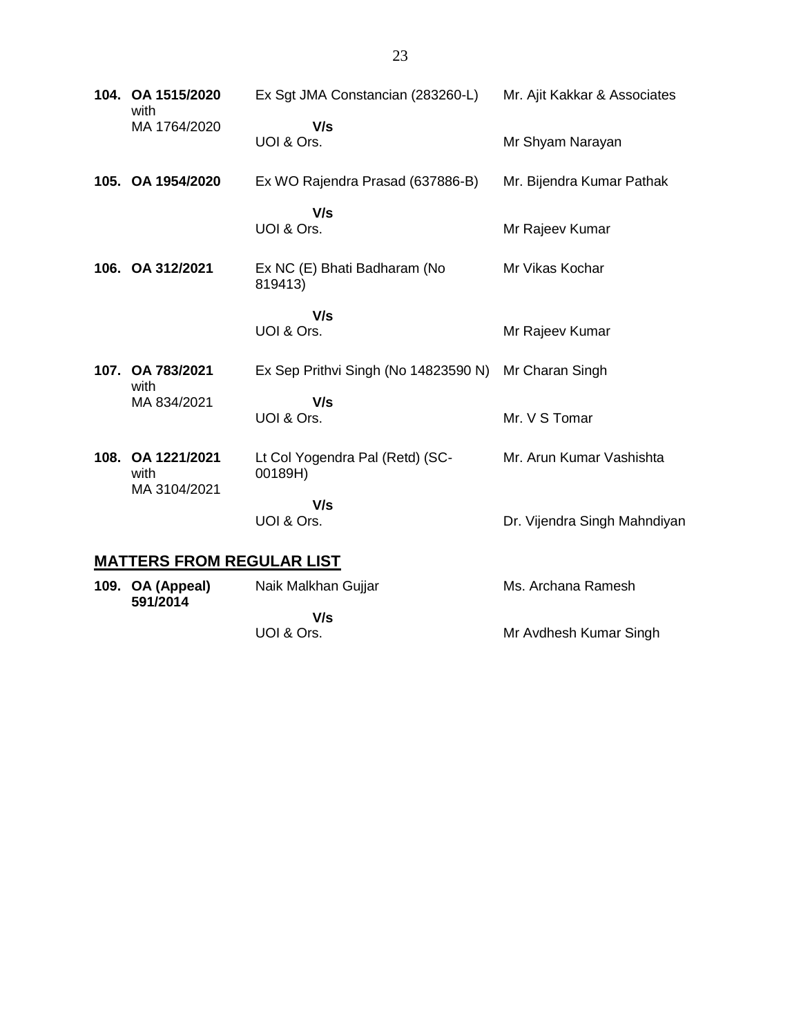| 104. OA 1515/2020<br>with                 | Ex Sgt JMA Constancian (283260-L)          | Mr. Ajit Kakkar & Associates |
|-------------------------------------------|--------------------------------------------|------------------------------|
| MA 1764/2020                              | V/s<br>UOI & Ors.                          | Mr Shyam Narayan             |
| 105. OA 1954/2020                         | Ex WO Rajendra Prasad (637886-B)           | Mr. Bijendra Kumar Pathak    |
|                                           | V/s<br>UOI & Ors.                          | Mr Rajeev Kumar              |
| 106. OA 312/2021                          | Ex NC (E) Bhati Badharam (No<br>819413)    | Mr Vikas Kochar              |
|                                           | V/s<br>UOI & Ors.                          | Mr Rajeev Kumar              |
| 107. OA 783/2021<br>with                  | Ex Sep Prithvi Singh (No 14823590 N)       | Mr Charan Singh              |
| MA 834/2021                               | V/s<br>UOI & Ors.                          | Mr. V S Tomar                |
| 108. OA 1221/2021<br>with<br>MA 3104/2021 | Lt Col Yogendra Pal (Retd) (SC-<br>00189H) | Mr. Arun Kumar Vashishta     |
|                                           | V/s<br>UOI & Ors.                          | Dr. Vijendra Singh Mahndiyan |
| <b>MATTERS FROM REGULAR LIST</b>          |                                            |                              |

#### **109. OA (Appeal) 591/2014** Naik Malkhan Gujjar  **V/s** UOI & Ors. Ms. Archana Ramesh Mr Avdhesh Kumar Singh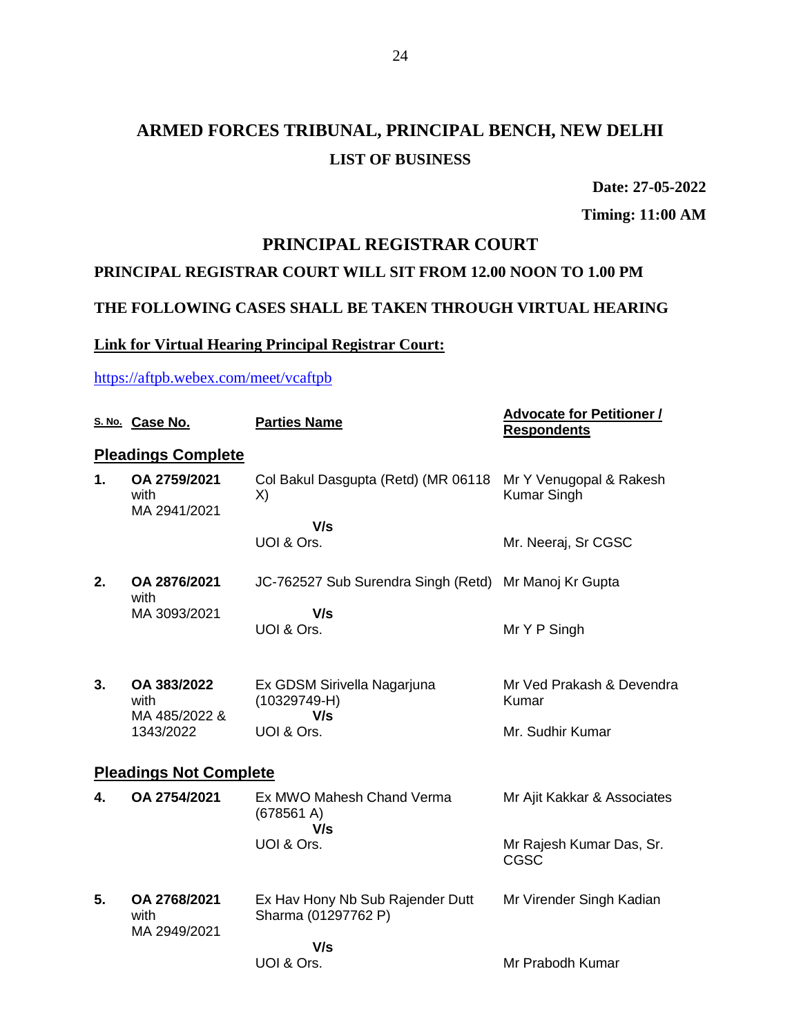**Date: 27-05-2022**

**Timing: 11:00 AM**

#### **PRINCIPAL REGISTRAR COURT**

#### **PRINCIPAL REGISTRAR COURT WILL SIT FROM 12.00 NOON TO 1.00 PM**

### **THE FOLLOWING CASES SHALL BE TAKEN THROUGH VIRTUAL HEARING**

### **Link for Virtual Hearing Principal Registrar Court:**

#### <https://aftpb.webex.com/meet/vcaftpb>

|    | S. No. Case No.                      | <b>Parties Name</b>                                     | <b>Advocate for Petitioner /</b><br><b>Respondents</b> |
|----|--------------------------------------|---------------------------------------------------------|--------------------------------------------------------|
|    | <b>Pleadings Complete</b>            |                                                         |                                                        |
| 1. | OA 2759/2021<br>with<br>MA 2941/2021 | Col Bakul Dasgupta (Retd) (MR 06118<br>X)               | Mr Y Venugopal & Rakesh<br><b>Kumar Singh</b>          |
|    |                                      | V/s                                                     |                                                        |
|    |                                      | UOI & Ors.                                              | Mr. Neeraj, Sr CGSC                                    |
| 2. | OA 2876/2021<br>with                 | JC-762527 Sub Surendra Singh (Retd) Mr Manoj Kr Gupta   |                                                        |
|    | MA 3093/2021                         | V/s<br>UOI & Ors.                                       | Mr Y P Singh                                           |
|    |                                      |                                                         |                                                        |
| 3. | OA 383/2022                          | Ex GDSM Sirivella Nagarjuna                             | Mr Ved Prakash & Devendra                              |
|    | with<br>MA 485/2022 &                | $(10329749-H)$<br>V/s                                   | Kumar                                                  |
|    | 1343/2022                            | UOI & Ors.                                              | Mr. Sudhir Kumar                                       |
|    | <b>Pleadings Not Complete</b>        |                                                         |                                                        |
| 4. | OA 2754/2021                         | Ex MWO Mahesh Chand Verma<br>(678561 A)<br>V/s          | Mr Ajit Kakkar & Associates                            |
|    |                                      | UOI & Ors.                                              | Mr Rajesh Kumar Das, Sr.<br>CGSC                       |
| 5. | OA 2768/2021<br>with                 | Ex Hav Hony Nb Sub Rajender Dutt<br>Sharma (01297762 P) | Mr Virender Singh Kadian                               |
|    | MA 2949/2021                         | V/s                                                     |                                                        |
|    |                                      | UOI & Ors.                                              | Mr Prabodh Kumar                                       |
|    |                                      |                                                         |                                                        |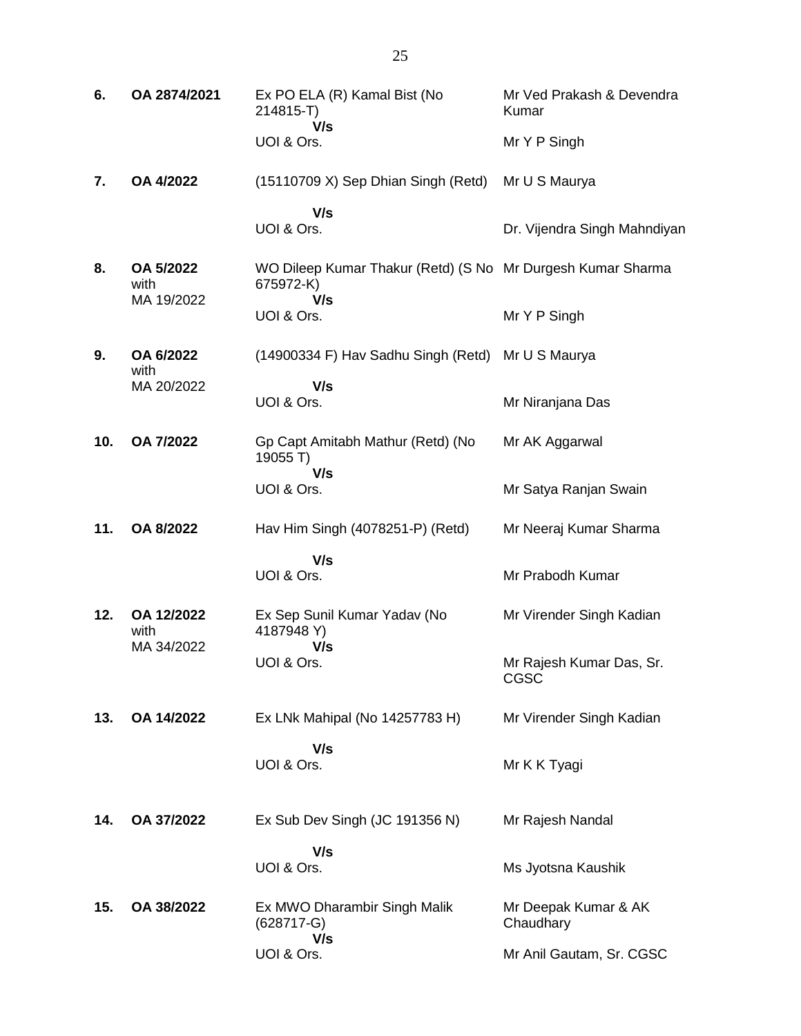| 6.  | OA 2874/2021                    | Ex PO ELA (R) Kamal Bist (No<br>214815-T)<br>V/s                                | Mr Ved Prakash & Devendra<br>Kumar |
|-----|---------------------------------|---------------------------------------------------------------------------------|------------------------------------|
|     |                                 | UOI & Ors.                                                                      | Mr Y P Singh                       |
| 7.  | OA 4/2022                       | (15110709 X) Sep Dhian Singh (Retd)                                             | Mr U S Maurya                      |
|     |                                 | V/s<br>UOI & Ors.                                                               | Dr. Vijendra Singh Mahndiyan       |
| 8.  | OA 5/2022<br>with<br>MA 19/2022 | WO Dileep Kumar Thakur (Retd) (S No Mr Durgesh Kumar Sharma<br>675972-K)<br>V/s |                                    |
|     |                                 | UOI & Ors.                                                                      | Mr Y P Singh                       |
| 9.  | OA 6/2022<br>with               | (14900334 F) Hav Sadhu Singh (Retd)                                             | Mr U S Maurya                      |
|     | MA 20/2022                      | V/s<br>UOI & Ors.                                                               | Mr Niranjana Das                   |
| 10. | OA 7/2022                       | Gp Capt Amitabh Mathur (Retd) (No<br>19055 T)<br>V/s                            | Mr AK Aggarwal                     |
|     |                                 | UOI & Ors.                                                                      | Mr Satya Ranjan Swain              |
| 11. | OA 8/2022                       | Hav Him Singh (4078251-P) (Retd)                                                | Mr Neeraj Kumar Sharma             |
|     |                                 | V/s<br>UOI & Ors.                                                               | Mr Prabodh Kumar                   |
| 12. | OA 12/2022<br>with              | Ex Sep Sunil Kumar Yadav (No<br>4187948 Y)                                      | Mr Virender Singh Kadian           |
|     | MA 34/2022                      | V/s<br>UOI & Ors.                                                               | Mr Rajesh Kumar Das, Sr.<br>CGSC   |
| 13. | OA 14/2022                      | Ex LNk Mahipal (No 14257783 H)                                                  | Mr Virender Singh Kadian           |
|     |                                 | V/s<br>UOI & Ors.                                                               | Mr K K Tyagi                       |
| 14. | OA 37/2022                      | Ex Sub Dev Singh (JC 191356 N)                                                  | Mr Rajesh Nandal                   |
|     |                                 | V/s<br>UOI & Ors.                                                               | Ms Jyotsna Kaushik                 |
| 15. | OA 38/2022                      | Ex MWO Dharambir Singh Malik<br>$(628717 - G)$                                  | Mr Deepak Kumar & AK<br>Chaudhary  |
|     |                                 | V/s<br>UOI & Ors.                                                               | Mr Anil Gautam, Sr. CGSC           |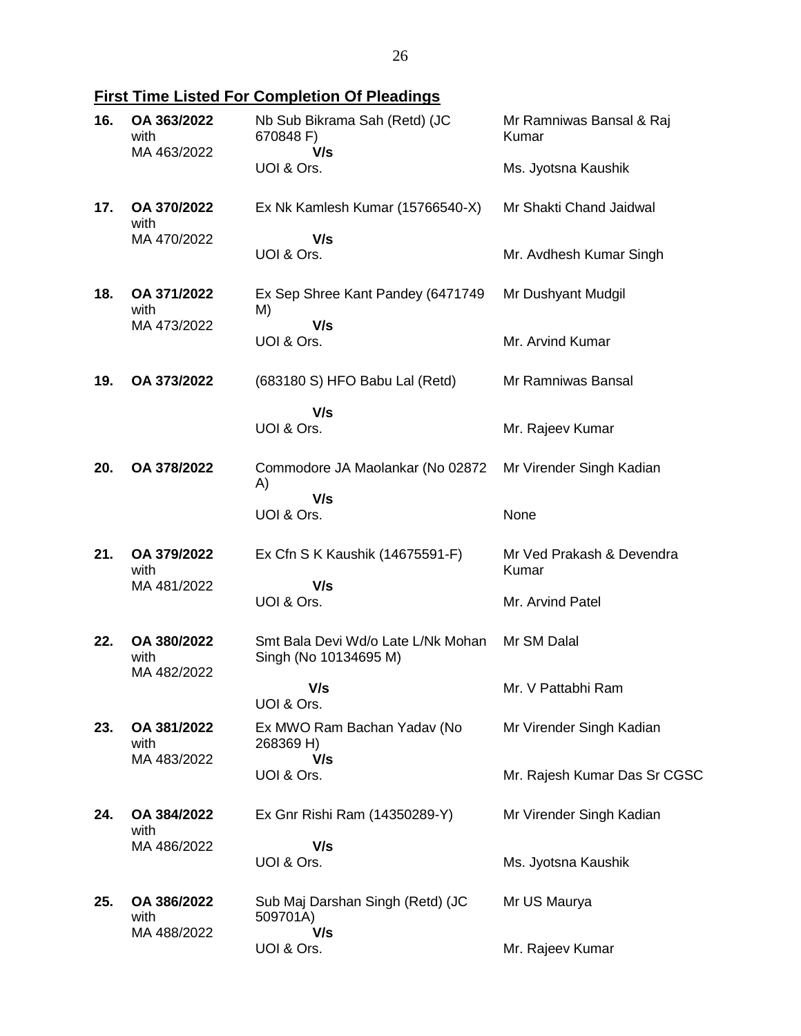**First Time Listed For Completion Of Pleadings**

| 16. | OA 363/2022<br>with<br>MA 463/2022 | Nb Sub Bikrama Sah (Retd) (JC<br>670848 F)<br>V/s           | Mr Ramniwas Bansal & Raj<br>Kumar  |
|-----|------------------------------------|-------------------------------------------------------------|------------------------------------|
|     |                                    | UOI & Ors.                                                  | Ms. Jyotsna Kaushik                |
| 17. | OA 370/2022<br>with                | Ex Nk Kamlesh Kumar (15766540-X)                            | Mr Shakti Chand Jaidwal            |
|     | MA 470/2022                        | V/s<br>UOI & Ors.                                           | Mr. Avdhesh Kumar Singh            |
| 18. | OA 371/2022<br>with<br>MA 473/2022 | Ex Sep Shree Kant Pandey (6471749)<br>M)                    | Mr Dushyant Mudgil                 |
|     |                                    | V/s<br>UOI & Ors.                                           | Mr. Arvind Kumar                   |
| 19. | OA 373/2022                        | (683180 S) HFO Babu Lal (Retd)                              | Mr Ramniwas Bansal                 |
|     |                                    | V/s<br>UOI & Ors.                                           | Mr. Rajeev Kumar                   |
| 20. | OA 378/2022                        | Commodore JA Maolankar (No 02872<br>A)                      | Mr Virender Singh Kadian           |
|     |                                    | V/s<br>UOI & Ors.                                           | None                               |
| 21. | OA 379/2022<br>with<br>MA 481/2022 | Ex Cfn S K Kaushik (14675591-F)                             | Mr Ved Prakash & Devendra<br>Kumar |
|     |                                    | V/s<br>UOI & Ors.                                           | Mr. Arvind Patel                   |
| 22. | OA 380/2022<br>with<br>MA 482/2022 | Smt Bala Devi Wd/o Late L/Nk Mohan<br>Singh (No 10134695 M) | Mr SM Dalal                        |
|     |                                    | V/s<br>UOI & Ors.                                           | Mr. V Pattabhi Ram                 |
| 23. | OA 381/2022<br>with<br>MA 483/2022 | Ex MWO Ram Bachan Yadav (No<br>268369 H)                    | Mr Virender Singh Kadian           |
|     |                                    | V/s<br>UOI & Ors.                                           | Mr. Rajesh Kumar Das Sr CGSC       |
| 24. | OA 384/2022<br>with<br>MA 486/2022 | Ex Gnr Rishi Ram (14350289-Y)                               | Mr Virender Singh Kadian           |
|     |                                    | V/s<br>UOI & Ors.                                           | Ms. Jyotsna Kaushik                |
| 25. | OA 386/2022<br>with<br>MA 488/2022 | Sub Maj Darshan Singh (Retd) (JC<br>509701A)                | Mr US Maurya                       |
|     |                                    | V/s<br>UOI & Ors.                                           | Mr. Rajeev Kumar                   |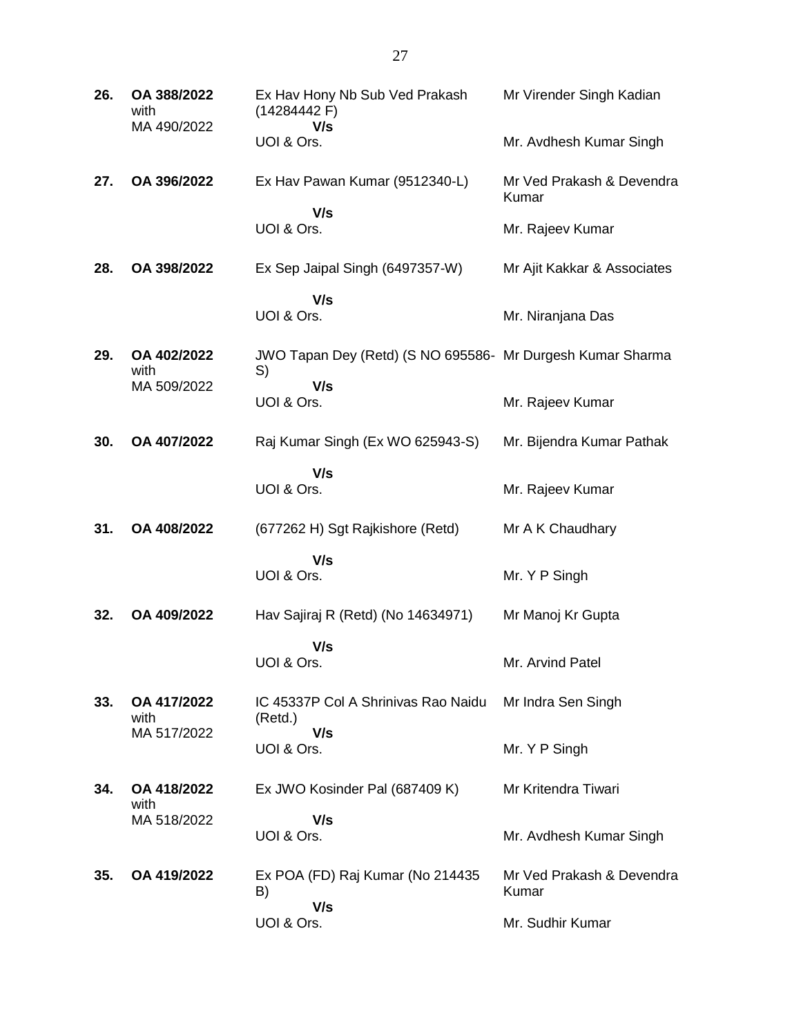| 26. | OA 388/2022<br>with<br>MA 490/2022 | Ex Hav Hony Nb Sub Ved Prakash<br>(14284442F)<br>V/s             | Mr Virender Singh Kadian           |
|-----|------------------------------------|------------------------------------------------------------------|------------------------------------|
|     |                                    | UOI & Ors.                                                       | Mr. Avdhesh Kumar Singh            |
| 27. | OA 396/2022                        | Ex Hav Pawan Kumar (9512340-L)                                   | Mr Ved Prakash & Devendra<br>Kumar |
|     |                                    | V/s<br>UOI & Ors.                                                | Mr. Rajeev Kumar                   |
| 28. | OA 398/2022                        | Ex Sep Jaipal Singh (6497357-W)                                  | Mr Ajit Kakkar & Associates        |
|     |                                    | V/s<br>UOI & Ors.                                                | Mr. Niranjana Das                  |
| 29. | OA 402/2022<br>with                | JWO Tapan Dey (Retd) (S NO 695586- Mr Durgesh Kumar Sharma<br>S) |                                    |
|     | MA 509/2022                        | V/s<br>UOI & Ors.                                                | Mr. Rajeev Kumar                   |
| 30. | OA 407/2022                        | Raj Kumar Singh (Ex WO 625943-S)                                 | Mr. Bijendra Kumar Pathak          |
|     |                                    | V/s<br>UOI & Ors.                                                | Mr. Rajeev Kumar                   |
| 31. | OA 408/2022                        | (677262 H) Sgt Rajkishore (Retd)                                 | Mr A K Chaudhary                   |
|     |                                    | V/s<br>UOI & Ors.                                                | Mr. Y P Singh                      |
| 32. | OA 409/2022                        | Hav Sajiraj R (Retd) (No 14634971)                               | Mr Manoj Kr Gupta                  |
|     |                                    | V/s<br>UOI & Ors.                                                | Mr. Arvind Patel                   |
| 33. | OA 417/2022<br>with                | IC 45337P Col A Shrinivas Rao Naidu<br>(Retd.)                   | Mr Indra Sen Singh                 |
|     | MA 517/2022                        | V/s<br>UOI & Ors.                                                | Mr. Y P Singh                      |
| 34. | OA 418/2022<br>with<br>MA 518/2022 | Ex JWO Kosinder Pal (687409 K)                                   | Mr Kritendra Tiwari                |
|     |                                    | V/s<br>UOI & Ors.                                                | Mr. Avdhesh Kumar Singh            |
| 35. | OA 419/2022                        | Ex POA (FD) Raj Kumar (No 214435<br>B)                           | Mr Ved Prakash & Devendra<br>Kumar |
|     |                                    | V/s<br>UOI & Ors.                                                | Mr. Sudhir Kumar                   |